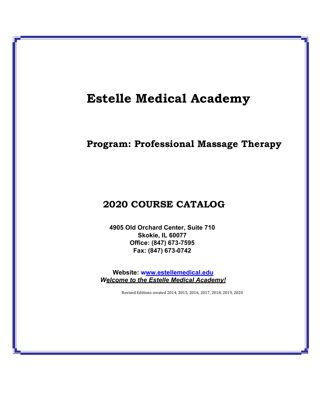## **Estelle Medical Academy**

## **Program: Professional Massage Therapy**

## **2020 COURSE CATALOG**

**4905 Old Orchard Center, Suite 710 Skokie, IL 60077 Office: (847) 673-7595 Fax: (847) 673-0742**

**Website: www.estellemedical.edu** *Welcome to the Estelle Medical Academy!*

Revised Editions created 2014, 2015, 2016, 2017, 2018, 2019, 2020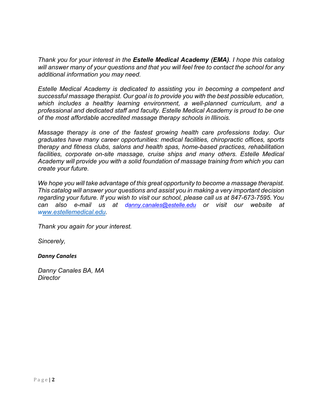*Thank you for your interest in the Estelle Medical Academy (EMA). I hope this catalog will answer many of your questions and that you will feel free to contact the school for any additional information you may need.*

*Estelle Medical Academy is dedicated to assisting you in becoming a competent and successful massage therapist. Our goal is to provide you with the best possible education, which includes a healthy learning environment, a well-planned curriculum, and a professional and dedicated staff and faculty. Estelle Medical Academy is proud to be one of the most affordable accredited massage therapy schools in Illinois.*

*Massage therapy is one of the fastest growing health care professions today. Our graduates have many career opportunities: medical facilities, chiropractic offices, sports therapy and fitness clubs, salons and health spas, home-based practices, rehabilitation facilities, corporate on-site massage, cruise ships and many others. Estelle Medical Academy will provide you with a solid foundation of massage training from which you can create your future.*

*We hope you will take advantage of this great opportunity to become a massage therapist. This catalog will answer your questions and assist you in making a very important decision regarding your future. If you wish to visit our school, please call us at 847-673-7595.You can also e-mail us at [danny.canales@estelle.edu](mailto:anny.canales@estelle.edu) or visit our website at www.estellemedical.edu.*

*Thank you again for your interest.* 

*Sincerely,*

## *Danny Canales*

*Danny Canales BA, MA Director*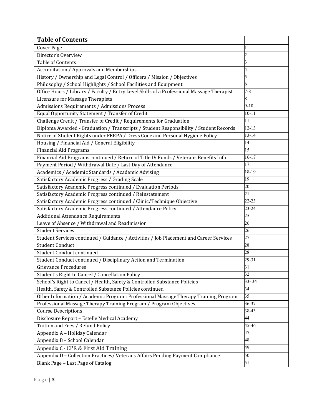| <b>Table of Contents</b>                                                                  |                  |
|-------------------------------------------------------------------------------------------|------------------|
| <b>Cover Page</b>                                                                         |                  |
| Director's Overview                                                                       |                  |
| <b>Table of Contents</b>                                                                  | β                |
| <b>Accreditation / Approvals and Memberships</b>                                          | 4                |
| History / Ownership and Legal Control / Officers / Mission / Objectives                   | 5                |
| Philosophy / School Highlights / School Facilities and Equipment                          | 6                |
| Office Hours / Library / Faculty / Entry Level Skills of a Professional Massage Therapist | $7 - 8$          |
| Licensure for Massage Therapists                                                          | 8                |
| Admissions Requirements / Admissions Process                                              | $9 - 10$         |
| Equal Opportunity Statement / Transfer of Credit                                          | $10 - 11$        |
| Challenge Credit / Transfer of Credit / Requirements for Graduation                       | 11               |
| Diploma Awarded - Graduation / Transcripts / Student Responsibility / Student Records     | $12 - 13$        |
| Notice of Student Rights under FERPA / Dress Code and Personal Hygiene Policy             | $13 - 14$        |
| Housing / Financial Aid / General Eligibility                                             | $\overline{14}$  |
| <b>Financial Aid Programs</b>                                                             | 15               |
| Financial Aid Programs continued / Return of Title IV Funds / Veterans Benefits Info      | $16 - 17$        |
| Payment Period / Withdrawal Date / Last Day of Attendance                                 | 17               |
| Academics / Academic Standards / Academic Advising                                        | 18-19            |
| Satisfactory Academic Progress / Grading Scale                                            | 19               |
| Satisfactory Academic Progress continued / Evaluation Periods                             | 20               |
| Satisfactory Academic Progress continued / Reinstatement                                  | $\overline{21}$  |
| Satisfactory Academic Progress continued / Clinic/Technique Objective                     | 22-23            |
| Satisfactory Academic Progress continued / Attendance Policy                              | 23-24            |
| <b>Additional Attendance Requirements</b>                                                 | 25               |
| Leave of Absence / Withdrawal and Readmission                                             | 26               |
| <b>Student Services</b>                                                                   | 26               |
| Student Services continued / Guidance / Activities / Job Placement and Career Services    | 27               |
| <b>Student Conduct</b>                                                                    | 28               |
| Student Conduct continued                                                                 | 28               |
| Student Conduct continued / Disciplinary Action and Termination                           | $29 - 31$        |
| <b>Grievance Procedures</b>                                                               | 31               |
| Student's Right to Cancel / Cancellation Policy                                           | 32               |
| School's Right to Cancel / Health, Safety & Controlled Substance Policies                 | $33 - 34$        |
| Health, Safety & Controlled Substance Policies continued                                  | 34               |
| Other Information / Academic Program: Professional Massage Therapy Training Program       | $35\overline{)}$ |
| Professional Massage Therapy Training Program / Program Objectives                        | $36 - 37$        |
| <b>Course Descriptions</b>                                                                | 38-43            |
| Disclosure Report - Estelle Medical Academy                                               | 44               |
| Tuition and Fees / Refund Policy                                                          | 45-46            |
| Appendix A - Holiday Calendar                                                             | 47               |
| Appendix B - School Calendar                                                              | 48               |
| Appendix C - CPR & First Aid Training                                                     | 49               |
| Appendix D - Collection Practices/ Veterans Affairs Pending Payment Compliance            | 50               |
| Blank Page - Last Page of Catalog                                                         | 51               |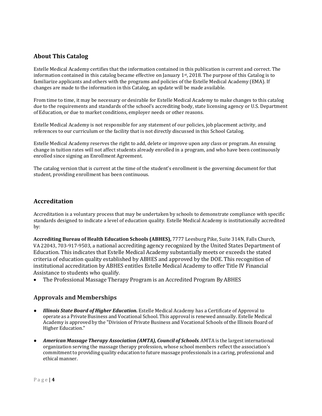## **About This Catalog**

Estelle Medical Academy certifies that the information contained in this publication is current and correct. The information contained in this catalog became effective on January 1st, 2018. The purpose of this Catalog is to familiarize applicants and others with the programs and policies of the Estelle Medical Academy (EMA). If changes are made to the information in this Catalog, an update will be made available.

From time to time, it may be necessary or desirable for Estelle Medical Academy to make changes to this catalog due to the requirements and standards of the school's accrediting body, state licensing agency or U.S. Department of Education, or due to market conditions, employer needs or other reasons.

Estelle Medical Academy is not responsible for any statement of our policies, job placement activity, and references to our curriculum or the facility that is not directly discussed in this School Catalog.

Estelle Medical Academy reserves the right to add, delete or improve upon any class or program. An ensuing change in tuition rates will not affect students already enrolled in a program, and who have been continuously enrolled since signing an Enrollment Agreement.

The catalog version that is current at the time of the student's enrollment is the governing document for that student, providing enrollment has been continuous.

## **Accreditation**

Accreditation is a voluntary process that may be undertaken by schools to demonstrate compliance with specific standards designed to indicate a level of education quality. Estelle Medical Academy is institutionally accredited by:

**Accrediting Bureau of Health Education Schools (ABHES),** 7777 Leesburg Pike, Suite 314N, Falls Church, VA 22043, 703-917-9503, a national accrediting agency recognized by the United States Department of Education. This indicates that Estelle Medical Academy substantially meets or exceeds the stated criteria of education quality established by ABHES and approved by the DOE. This recognition of institutional accreditation by ABHES entitles Estelle Medical Academy to offer Title IV Financial Assistance to students who qualify.

• The Professional Massage Therapy Program is an Accredited Program By ABHES

## **Approvals and Memberships**

- *Illinois State Board of Higher Education.* Estelle Medical Academy has a Certificate of Approval to operate as a Private Business and Vocational School. This approval is renewed annually. Estelle Medical Academy is approved by the "Division of Private Business and Vocational Schools of the Illinois Board of Higher Education."
- *American Massage Therapy Association (AMTA), Council of Schools*. AMTA is the largestinternational organization serving the massage therapy profession, whose school members reflect the association's commitment to providing quality education to future massage professionals in a caring, professional and ethical manner.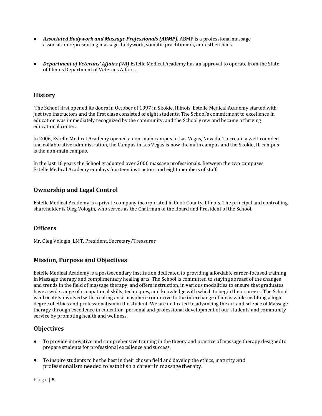- **Associated Bodywork and Massage Professionals (ABMP).** ABMP is a professional massage association representing massage, bodywork, somatic practitioners, andestheticians.
- *Department of Veterans' Affairs (VA)* Estelle Medical Academy has an approval to operate from the State of Illinois Department of Veterans Affairs.

### **History**

The School first opened its doors in October of 1997 in Skokie, Illinois. Estelle Medical Academy started with just two instructors and the first class consisted of eight students. The School's commitment to excellence in education was immediately recognized by the community, and the School grew and became a thriving educational center.

In 2006, Estelle Medical Academy opened a non-main campus in Las Vegas, Nevada. To create a well-rounded and collaborative administration, the Campus in Las Vegas is now the main campus and the Skokie, IL campus is the non-main campus.

In the last 16 years the School graduated over 2000 massage professionals. Between the two campuses Estelle Medical Academy employs fourteen instructors and eight members of staff.

## **Ownership and Legal Control**

Estelle Medical Academy is a private company incorporated in Cook County, Illinois. The principal and controlling shareholder is Oleg Vologin, who serves as the Chairman of the Board and President of the School.

### **Officers**

Mr. Oleg Vologin, LMT, President, Secretary/Treasurer

## **Mission, Purpose and Objectives**

Estelle Medical Academy is a postsecondary institution dedicated to providing affordable career-focused training in Massage therapy and complimentary healing arts. The School is committed to staying abreast of the changes and trends in the field of massage therapy, and offers instruction, in various modalities to ensure that graduates have a wide range of occupational skills, techniques, and knowledge with which to begin their careers. The School is intricately involved with creating an atmosphere conducive to the interchange of ideas while instilling a high degree of ethics and professionalism in the student. We are dedicated to advancing the art and science of Massage therapy through excellence in education, personal and professional development of our students and community service by promoting health and wellness.

## **Objectives**

- To provide innovative and comprehensive training in the theory and practice of massage therapy designedto prepare students for professional excellence andsuccess.
- To inspire students to be the best in their chosen field and develop the ethics, maturity and professionalism needed to establish a career in massage therapy.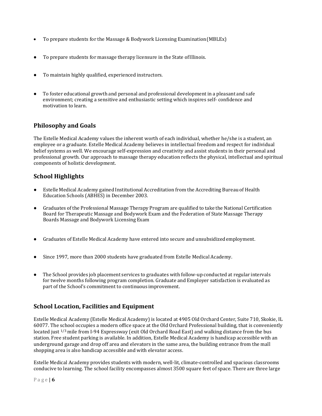- To prepare students for the Massage & Bodywork Licensing Examination(MBLEx)
- To prepare students for massage therapy licensure in the State of Illinois.
- To maintain highly qualified, experienced instructors.
- To foster educational growth and personal and professional development in a pleasant and safe environment; creating a sensitive and enthusiastic setting which inspires self- confidence and motivation to learn.

## **Philosophy and Goals**

The Estelle Medical Academy values the inherent worth of each individual, whether he/she is a student, an employee or a graduate. Estelle Medical Academy believes in intellectual freedom and respect for individual belief systems as well. We encourage self-expression and creativity and assist students in their personal and professional growth. Our approach to massage therapy education reflects the physical, intellectual and spiritual components of holistic development.

## **School Highlights**

- Estelle Medical Academy gained Institutional Accreditation from the Accrediting Bureau of Health Education Schools (ABHES) in December 2003.
- Graduates of the Professional Massage Therapy Program are qualified to take the National Certification Board for Therapeutic Massage and Bodywork Exam and the Federation of State Massage Therapy Boards Massage and Bodywork Licensing Exam
- Graduates of Estelle Medical Academy have entered into secure and unsubsidized employment.
- Since 1997, more than 2000 students have graduated from Estelle Medical Academy.
- The School provides job placement services to graduates with follow-up conducted at regular intervals for twelve months following program completion. Graduate and Employer satisfaction is evaluated as part of the School's commitment to continuous improvement.

## **School Location, Facilities and Equipment**

Estelle Medical Academy (Estelle Medical Academy) is located at 4905 Old Orchard Center, Suite 710, Skokie, IL 60077. The school occupies a modern office space at the Old Orchard Professional building, that is conveniently located just 1/3 mile from I-94 Expressway (exit Old Orchard Road East) and walking distance from the bus station. Free student parking is available. In addition, Estelle Medical Academy is handicap accessible with an underground garage and drop off area and elevators in the same area, the building entrance from the mall shopping area is also handicap accessible and with elevator access.

Estelle Medical Academy provides students with modern, well-lit, climate-controlled and spacious classrooms conducive to learning. The school facility encompasses almost 3500 square feet of space. There are three large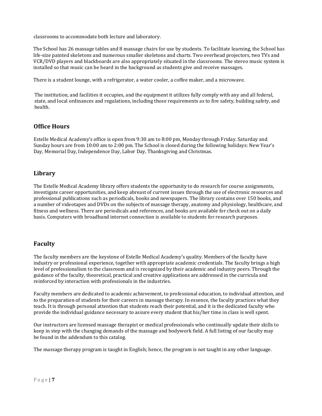classrooms to accommodate both lecture and laboratory.

The School has 26 massage tables and 8 massage chairs for use by students. To facilitate learning, the School has life-size painted skeletons and numerous smaller skeletons and charts. Two overhead projectors, two TVs and VCR/DVD players and blackboards are also appropriately situated in the classrooms. The stereo music system is installed so that music can be heard in the background as students give and receive massages.

There is a student lounge, with a refrigerator, a water cooler, a coffee maker, and a microwave.

The institution, and facilities it occupies, and the equipment it utilizes fully comply with any and all federal, state, and local ordinances and regulations, including those requirements as to fire safety, building safety, and health.

## **Office Hours**

Estelle Medical Academy's office is open from 9:30 am to 8:00 pm, Monday through Friday. Saturday and Sunday hours are from 10:00 am to 2:00 pm. The School is closed during the following holidays: New Year's Day, Memorial Day, Independence Day, Labor Day, Thanksgiving and Christmas.

### **Library**

The Estelle Medical Academy library offers students the opportunity to do research for course assignments, investigate career opportunities, and keep abreast of current issues through the use of electronic resources and professional publications such as periodicals, books and newspapers. The library contains over 150 books, and a number of videotapes and DVDs on the subjects of massage therapy, anatomy and physiology, healthcare, and fitness and wellness. There are periodicals and references, and books are available for check out on a daily basis. Computers with broadband internet connection is available to students for research purposes.

## **Faculty**

The faculty members are the keystone of Estelle Medical Academy's quality. Members of the faculty have industry or professional experience, together with appropriate academic credentials. The faculty brings a high level of professionalism to the classroom and is recognized by their academic and industry peers. Through the guidance of the faculty, theoretical, practical and creative applications are addressed in the curricula and reinforced by interaction with professionals in the industries.

Faculty members are dedicated to academic achievement, to professional education, to individual attention, and to the preparation of students for their careers in massage therapy. In essence, the faculty practices what they teach. It is through personal attention that students reach their potential, and it is the dedicated faculty who provide the individual guidance necessary to assure every student that his/her time in class is well spent.

Our instructors are licensed massage therapist or medical professionals who continually update their skills to keep in step with the changing demands of the massage and bodywork field. A full listing of our faculty may be found in the addendum to this catalog.

The massage therapy program is taught in English; hence, the program is not taught in any other language.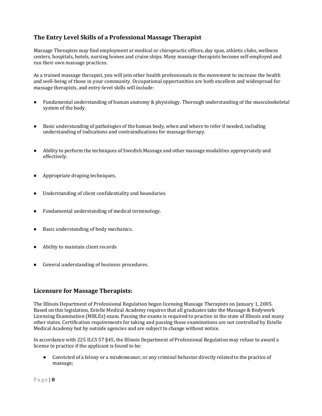## **The Entry Level Skills of a Professional Massage Therapist**

Massage Therapists may find employment at medical or chiropractic offices, day spas, athletic clubs, wellness centers, hospitals, hotels, nursing homes and cruise ships. Many massage therapists become self-employed and run their own massage practices.

As a trained massage therapist, you will join other health professionals in the movement to increase the health and well-being of those in your community. Occupational opportunities are both excellent and widespread for massage therapists, and entry-level skills will include:

- Fundamental understanding of human anatomy & physiology. Thorough understanding of the musculoskeletal system of the body.
- Basic understanding of pathologies of the human body, when and where to refer if needed, including understanding of indications and contraindications for massage therapy.
- Ability to perform the techniques of Swedish Massage and other massage modalities appropriately and effectively.
- Appropriate draping techniques,
- Understanding of client confidentiality and boundaries.
- Fundamental understanding of medical terminology.
- Basic understanding of body mechanics.
- Ability to maintain client records
- General understanding of business procedures.

## **Licensure for Massage Therapists:**

The Illinois Department of Professional Regulation began licensing Massage Therapists on January 1, 2005. Based on this legislation, Estelle Medical Academy requires that all graduates take the Massage & Bodywork Licensing Examination (MBLEx) exam. Passing the exams is required to practice in the state of Illinois and many other states. Certification requirements for taking and passing those examinations are not controlled by Estelle Medical Academy but by outside agencies and are subject to change without notice.

In accordance with 225 ILCS 57 §45, the Illinois Department of Professional Regulation may refuse to award a license to practice if the applicant is found to be:

● Convicted of a felony or a misdemeanor, or any criminal behavior directly related to the practice of massage;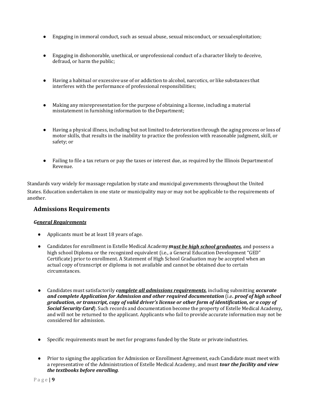- Engaging in immoral conduct, such as sexual abuse, sexual misconduct, or sexualexploitation;
- Engaging in dishonorable, unethical, or unprofessional conduct of a character likely to deceive, defraud, or harm the public;
- Having a habitual or excessive use of or addiction to alcohol, narcotics, or like substances that interferes with the performance of professional responsibilities;
- Making any misrepresentation for the purpose of obtaining a license, including a material misstatement in furnishing information to theDepartment;
- Having a physical illness, including but not limited to deterioration through the aging process or loss of motor skills, that results in the inability to practice the profession with reasonable judgment, skill, or safety; or
- Failing to file a tax return or pay the taxes or interest due, as required by the Illinois Departmentof Revenue.

Standards vary widely for massage regulation by state and municipal governments throughout the United States. Education undertaken in one state or municipality may or may not be applicable to the requirements of another.

### **Admissions Requirements**

#### *General Requirements*

- Applicants must be at least 18 years of age.
- Candidates for enrollment in Estelle Medical Academy*must be high school graduates,* and possess a high school Diploma or the recognized equivalent (i.e., a General Education Development "GED" Certificate) prior to enrollment. A Statement of High School Graduation may be accepted when an actual copy of transcript or diploma is not available and cannot be obtained due to certain circumstances.
- Candidates must satisfactorily *complete all admissions requirements*, including submitting *accurate and complete Application for Admission and other required documentation* (i.e*. proof of high school graduation, or transcript, copy of valid driver's license or other form of identification, or a copy of Social Security Card*). Such records and documentation become the property of Estelle Medical Academy*,*  and will not be returned to the applicant. Applicants who fail to provide accurate information may not be considered for admission.
- Specific requirements must be met for programs funded by the State or private industries.
- Prior to signing the application for Admission or Enrollment Agreement, each Candidate must meet with a representative of the Administration of Estelle Medical Academy, and must *tour the facility and view the textbooks before enrolling*.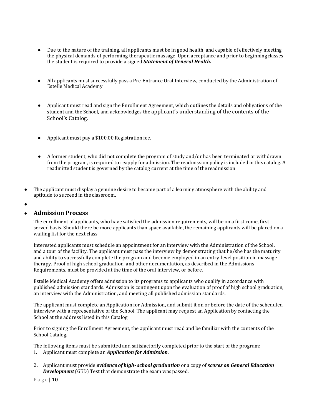- Due to the nature of the training, all applicants must be in good health, and capable of effectively meeting the physical demands of performing therapeutic massage. Upon acceptance and prior to beginningclasses, the student is required to provide a signed *Statement of General Health***.**
- All applicants must successfully pass a Pre-Entrance Oral Interview, conducted by the Administration of Estelle Medical Academy.
- Applicant must read and sign the Enrollment Agreement, which outlines the details and obligations of the student and the School, and acknowledges the applicant's understanding of the contents of the School's Catalog.
- Applicant must pay a \$100.00 Registration fee.
- A former student, who did not complete the program of study and/or has been terminated or withdrawn from the program, is required to reapply for admission. The readmission policy is included in this catalog. A readmitted student is governed by the catalog current at the time of thereadmission.
- The applicant must display a genuine desire to become part of a learning atmosphere with the ability and aptitude to succeed in the classroom.
- ●

## ● **Admission Process**

The enrollment of applicants, who have satisfied the admission requirements, will be on a first come, first served basis. Should there be more applicants than space available, the remaining applicants will be placed on a waiting list for the next class.

Interested applicants must schedule an appointment for an interview with the Administration of the School, and a tour of the facility. The applicant must pass the interview by demonstrating that he/she has the maturity and ability to successfully complete the program and become employed in an entry-level position in massage therapy. Proof of high school graduation, and other documentation, as described in the Admissions Requirements, must be provided at the time of the oral interview, or before.

Estelle Medical Academy offers admission to its programs to applicants who qualify in accordance with published admission standards. Admission is contingent upon the evaluation of proof of high school graduation, an interview with the Administration, and meeting all published admission standards.

The applicant must complete an Application for Admission, and submit it on or before the date of the scheduled interview with a representative of the School. The applicant may request an Application by contacting the School at the address listed in this Catalog.

Prior to signing the Enrollment Agreement, the applicant must read and be familiar with the contents of the School Catalog.

The following items must be submitted and satisfactorily completed prior to the start of the program: 1. Applicant must complete an *Application for Admission*.

2. Applicant must provide *evidence of high- school graduation* or a copy of *scores on General Education Development* (GED) Test that demonstrate the exam was passed.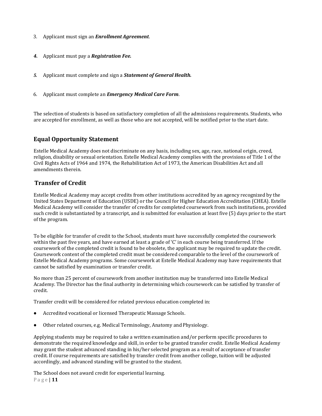- 3. Applicant must sign an *Enrollment Agreement*.
- *4.* Applicant must pay a *Registration Fee.*
- *5.* Applicant must complete and sign a *Statement of General Health.*
- 6. Applicant must complete an *Emergency Medical Care Form*.

The selection of students is based on satisfactory completion of all the admissions requirements. Students, who are accepted for enrollment, as well as those who are not accepted, will be notified prior to the start date.

## **Equal Opportunity Statement**

Estelle Medical Academy does not discriminate on any basis, including sex, age, race, national origin, creed, religion, disability or sexual orientation. Estelle Medical Academy complies with the provisions of Title 1 of the Civil Rights Acts of 1964 and 1974, the Rehabilitation Act of 1973, the American Disabilities Act and all amendments therein.

## **Transfer of Credit**

Estelle Medical Academy may accept credits from other institutions accredited by an agency recognized by the United States Department of Education (USDE) or the Council for Higher Education Accreditation (CHEA). Estelle Medical Academy will consider the transfer of credits for completed coursework from such institutions, provided such credit is substantiated by a transcript, and is submitted for evaluation at least five (5) days prior to the start of the program.

To be eligible for transfer of credit to the School, students must have successfully completed the coursework within the past five years, and have earned at least a grade of 'C' in each course being transferred. If the coursework of the completed credit is found to be obsolete, the applicant may be required to update the credit. Coursework content of the completed credit must be considered comparable to the level of the coursework of Estelle Medical Academy programs. Some coursework at Estelle Medical Academy may have requirements that cannot be satisfied by examination or transfer credit.

No more than 25 percent of coursework from another institution may be transferred into Estelle Medical Academy. The Director has the final authority in determining which coursework can be satisfied by transfer of credit.

Transfer credit will be considered for related previous education completed in:

- Accredited vocational or licensed Therapeutic Massage Schools.
- Other related courses, e.g. Medical Terminology, Anatomy and Physiology.

Applying students may be required to take a written examination and/or perform specific procedures to demonstrate the required knowledge and skill, in order to be granted transfer credit. Estelle Medical Academy may grant the student advanced standing in his/her selected program as a result of acceptance of transfer credit. If course requirements are satisfied by transfer credit from another college, tuition will be adjusted accordingly, and advanced standing will be granted to the student.

P a g e | **11** The School does not award credit for experiential learning.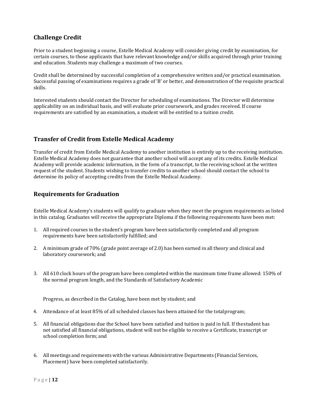## **Challenge Credit**

Prior to a student beginning a course, Estelle Medical Academy will consider giving credit by examination, for certain courses, to those applicants that have relevant knowledge and/or skills acquired through prior training and education. Students may challenge a maximum of two courses.

Credit shall be determined by successful completion of a comprehensive written and/or practical examination. Successful passing of examinations requires a grade of 'B' or better, and demonstration of the requisite practical skills.

Interested students should contact the Director for scheduling of examinations. The Director will determine applicability on an individual basis, and will evaluate prior coursework, and grades received. If course requirements are satisfied by an examination, a student will be entitled to a tuition credit.

## **Transfer of Credit from Estelle Medical Academy**

Transfer of credit from Estelle Medical Academy to another institution is entirely up to the receiving institution. Estelle Medical Academy does not guarantee that another school will accept any of its credits. Estelle Medical Academy will provide academic information, in the form of a transcript, to the receiving school at the written request of the student. Students wishing to transfer credits to another school should contact the school to determine its policy of accepting credits from the Estelle Medical Academy.

## **Requirements for Graduation**

Estelle Medical Academy's students will qualify to graduate when they meet the program requirements as listed in this catalog. Graduates will receive the appropriate Diploma if the following requirements have been met:

- 1. All required courses in the student's program have been satisfactorily completed and all program requirements have been satisfactorily fulfilled; and
- 2. A minimum grade of 70% (grade point average of 2.0) has been earned in all theory and clinical and laboratory coursework; and
- 3. All 610 clock hours of the program have been completed within the maximum time frame allowed: 150% of the normal program length, and the Standards of Satisfactory Academic

Progress, as described in the Catalog, have been met by student; and

- 4. Attendance of at least 85% of all scheduled classes has been attained for the totalprogram;
- 5. All financial obligations due the School have been satisfied and tuition is paid in full. If thestudent has not satisfied all financial obligations, student will not be eligible to receive a Certificate, transcript or school completion form; and
- 6. All meetings and requirements with the various Administrative Departments (Financial Services, Placement) have been completed satisfactorily.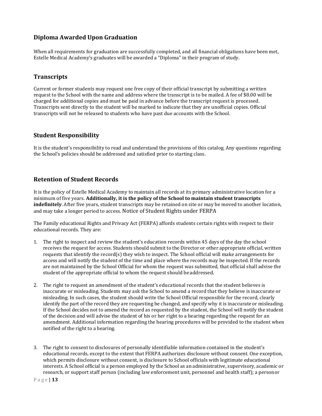## **Diploma Awarded Upon Graduation**

When all requirements for graduation are successfully completed, and all financial obligations have been met, Estelle Medical Academy's graduates will be awarded a "Diploma" in their program of study.

## **Transcripts**

Current or former students may request one free copy of their official transcript by submitting a written request to the School with the name and address where the transcript is to be mailed. A fee of \$8.00 will be charged for additional copies and must be paid in advance before the transcript request is processed. Transcripts sent directly to the student will be marked to indicate that they are unofficial copies. Official transcripts will not be released to students who have past due accounts with the School.

### **Student Responsibility**

It is the student's responsibility to read and understand the provisions of this catalog. Any questions regarding the School's policies should be addressed and satisfied prior to starting class.

## **Retention of Student Records**

It is the policy of Estelle Medical Academy to maintain all records at its primary administrative location for a minimum of five years. **Additionally, it is the policy of the School to maintain student transcripts indefinitely**. After five years, student transcripts may be retained on site or may be moved to another location, and may take a longer period to access. Notice of Student Rights under FERPA

The Family educational Rights and Privacy Act (FERPA) affords students certain rights with respect to their educational records. They are:

- 1. The right to inspect and review the student's education records within 45 days of the day the school receives the request for access. Students should submit to the Director or other appropriate official, written requests that identify the record(s) they wish to inspect. The School official will make arrangements for access and will notify the student of the time and place where the records may be inspected. If the records are not maintained by the School Official for whom the request was submitted, that official shall advise the student of the appropriate official to whom the request should be addressed.
- 2. The right to request an amendment of the student's educational records that the student believes is inaccurate or misleading. Students may ask the School to amend a record that they believe is inaccurate or misleading. In such cases, the student should write the School Official responsible for the record, clearly identify the part of the record they are requesting be changed, and specify why it is inaccurate or misleading. If the School decides not to amend the record as requested by the student, the School will notify the student of the decision and will advise the student of his or her right to a hearing regarding the request for an amendment. Additional information regarding the hearing procedures will be provided to the student when notified of the right to a hearing.
- 3. The right to consent to disclosures of personally identifiable information contained in the student's educational records, except to the extent that FERPA authorizes disclosure without consent. One exception, which permits disclosure without consent, is disclosure to School officials with legitimate educational interests. A School official is a person employed by the School as an administrative, supervisory, academic or research, or support staff person (including law enforcement unit, personnel and health staff); a personor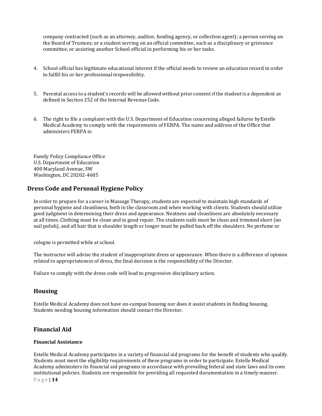company contracted (such as an attorney, auditor, funding agency, or collection agent); a person serving on the Board of Trustees; or a student serving on an official committee, such as a disciplinary or grievance committee, or assisting another School official in performing his or her tasks.

- 4. School official has legitimate educational interest if the official needs to review an education record in order to fulfill his or her professional responsibility.
- 5. Parental access to a student's records will be allowed without prior consent if the student is a dependent as defined in Section 252 of the Internal Revenue Code.
- 6. The right to file a complaint with the U.S. Department of Education concerning alleged failures byEstelle Medical Academy to comply with the requirements of FERPA. The name and address of the Office that administers FERPA is:

Family Policy Compliance Office U.S. Department of Education 400 Maryland Avenue, SW Washington, DC 20202-4605

### **Dress Code and Personal Hygiene Policy**

In order to prepare for a career in Massage Therapy, students are expected to maintain high standards of personal hygiene and cleanliness, both in the classroom and when working with clients. Students should utilize good judgment in determining their dress and appearance. Neatness and cleanliness are absolutely necessary at all times. Clothing must be clean and in good repair. The students nails must be clean and trimmed short (no nail polish), and all hair that is shoulder length or longer must be pulled back off the shoulders. No perfume or

cologne is permitted while at school.

The instructor will advise the student of inappropriate dress or appearance. When there is a difference of opinion related to appropriateness of dress, the final decision is the responsibility of the Director.

Failure to comply with the dress code will lead to progressive disciplinary action.

#### **Housing**

Estelle Medical Academy does not have on-campus housing nor does it assist students in finding housing. Students needing housing information should contact the Director.

## **Financial Aid**

#### **Financial Assistance**

P a g e | **14** Estelle Medical Academy participates in a variety of financial aid programs for the benefit of students who qualify. Students must meet the eligibility requirements of these programs in order to participate. Estelle Medical Academy administers its financial aid programs in accordance with prevailing federal and state laws and its own institutional policies. Students are responsible for providing all requested documentation in a timely manner.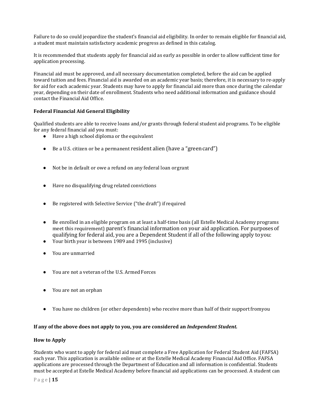Failure to do so could jeopardize the student's financial aid eligibility. In order to remain eligible for financial aid, a student must maintain satisfactory academic progress as defined in this catalog.

It is recommended that students apply for financial aid as early as possible in order to allow sufficient time for application processing.

Financial aid must be approved, and all necessary documentation completed, before the aid can be applied toward tuition and fees. Financial aid is awarded on an academic year basis; therefore, it is necessary to re-apply for aid for each academic year. Students may have to apply for financial aid more than once during the calendar year, depending on their date of enrollment. Students who need additional information and guidance should contact the Financial Aid Office.

#### **Federal Financial Aid General Eligibility**

Qualified students are able to receive loans and/or grants through federal student aid programs. To be eligible for any federal financial aid you must:

- Have a high school diploma or the equivalent
- Be a U.S. citizen or be a permanent resident alien (have a "green card")
- Not be in default or owe a refund on any federal loan orgrant
- Have no disqualifying drug related convictions
- Be registered with Selective Service ("the draft") if required
- Be enrolled in an eligible program on at least a half-time basis (all Estelle Medical Academy programs meet this requirement) parent's financial information on your aid application. For purposes of qualifying for federal aid, you are a Dependent Student if all of the following apply toyou:
- Your birth year is between 1989 and 1995 (inclusive)
- You are unmarried
- You are not a veteran of the U.S. Armed Forces
- You are not an orphan
- You have no children (or other dependents) who receive more than half of their supportfromyou

#### **If any of the above does not apply to you, you are considered an** *Independent Student.*

#### **How to Apply**

Students who want to apply for federal aid must complete a Free Application for Federal Student Aid (FAFSA) each year. This application is available online or at the Estelle Medical Academy Financial Aid Office. FAFSA applications are processed through the Department of Education and all information is confidential. Students must be accepted at Estelle Medical Academy before financial aid applications can be processed. A student can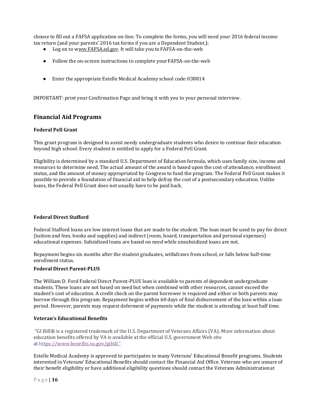choose to fill out a FAFSA application on-line. To complete the forms, you will need your 2016 federal income tax return (and your parents' 2016 tax forms if you are a Dependent Student.):

- Log on to www.FAFSA.ed.gov. It will take you to FAFSA-on-the-web
- Follow the on-screen instructions to complete yourFAFSA-on-the-web
- Enter the appropriate Estelle Medical Academy school code:038814

IMPORTANT: print your Confirmation Page and bring it with you to your personal interview.

## **Financial Aid Programs**

#### **Federal Pell Grant**

This grant program is designed to assist needy undergraduate students who desire to continue their education beyond high school. Every student is entitled to apply for a Federal Pell Grant.

Eligibility is determined by a standard U.S. Department of Education formula, which uses family size, income and resources to determine need. The actual amount of the award is based upon the cost of attendance, enrollment status, and the amount of money appropriated by Congress to fund the program. The Federal Pell Grant makes it possible to provide a foundation of financial aid to help defray the cost of a postsecondary education. Unlike loans, the Federal Pell Grant does not usually have to be paid back.

#### **Federal Direct Stafford**

Federal Stafford loans are low interest loans that are made to the student. The loan must be used to pay for direct (tuition and fees, books and supplies) and indirect (room, board, transportation and personal expenses) educational expenses. Subsidized loans are based on need while unsubsidized loans are not.

Repayment begins six months after the student graduates, withdraws from school, or falls below half-time enrollment status.

#### **Federal Direct Parent-PLUS**

The William D. Ford Federal Direct Parent-PLUS loan is available to parents of dependent undergraduate students. These loans are not based on need but when combined with other resources, cannot exceed the student's cost of education. A credit check on the parent borrower is required and either or both parents may borrow through this program. Repayment begins within 60 days of final disbursement of the loan within a loan period. However, parents may request deferment of payments while the student is attending at least half time.

#### **Veteran's Educational Benefits**

''GI Bill® is a registered trademark of the U.S. Department of Veterans Affairs (VA). More information about education benefits offered by VA is available at the official U.S. government Web site at https:/[/www.benefits.va.gov/gibill."](http://www.benefits.va.gov/gibill)

Estelle Medical Academy is approved to participates in many Veterans' Educational Benefit programs. Students interested in Veterans' Educational Benefits should contact the Financial Aid Office. Veterans who are unsure of their benefit eligibility or have additional eligibility questions should contact the Veterans Administrationat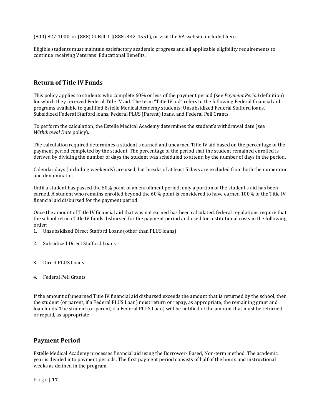(800) 827-1000, or (888) GI Bill-1 [(888) 442-4551), or visit the VA website included here.

Eligible students must maintain satisfactory academic progress and all applicable eligibility requirements to continue receiving Veterans' Educational Benefits.

## **Return of Title IV Funds**

This policy applies to students who complete 60% or less of the payment period (see *Payment Period* definition) for which they received Federal Title IV aid. The term "Title IV aid" refers to the following Federal financial aid programs available to qualified Estelle Medical Academy students: Unsubsidized Federal Stafford loans, Subsidized Federal Stafford loans, Federal PLUS (Parent) loans, and Federal Pell Grants.

To perform the calculation, the Estelle Medical Academy determines the student's withdrawal date (see *Withdrawal Date* policy).

The calculation required determines a student's earned and unearned Title IV aid based on the percentage of the payment period completed by the student. The percentage of the period that the student remained enrolled is derived by dividing the number of days the student was scheduled to attend by the number of days in the period.

Calendar days (including weekends) are used, but breaks of at least 5 days are excluded from both the numerator and denominator.

Until a student has passed the 60% point of an enrollment period, only a portion of the student's aid has been earned. A student who remains enrolled beyond the 60% point is considered to have earned 100% of the Title IV financial aid disbursed for the payment period.

Once the amount of Title IV financial aid that was not earned has been calculated, federal regulations require that the school return Title IV funds disbursed for the payment period and used for institutional costs in the following order:

- 1. Unsubsidized Direct Stafford Loans (other than PLUS loans)
- 2. Subsidized Direct Stafford Loans
- 3. Direct PLUS Loans
- 4. Federal Pell Grants

If the amount of unearned Title IV financial aid disbursed exceeds the amount that is returned by the school, then the student (or parent, if a Federal PLUS Loan) must return or repay, as appropriate, the remaining grant and loan funds. The student (or parent, if a Federal PLUS Loan) will be notified of the amount that must be returned or repaid, as appropriate.

#### **Payment Period**

Estelle Medical Academy processes financial aid using the Borrower- Based, Non-term method. The academic year is divided into payment periods. The first payment period consists of half of the hours and instructional weeks as defined in the program.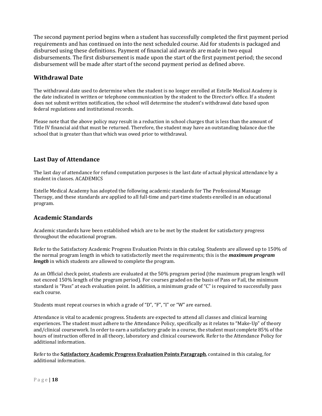The second payment period begins when a student has successfully completed the first payment period requirements and has continued on into the next scheduled course. Aid for students is packaged and disbursed using these definitions. Payment of financial aid awards are made in two equal disbursements. The first disbursement is made upon the start of the first payment period; the second disbursement will be made after start of the second payment period as defined above.

## **Withdrawal Date**

The withdrawal date used to determine when the student is no longer enrolled at Estelle Medical Academy is the date indicated in written or telephone communication by the student to the Director's office. If a student does not submit written notification, the school will determine the student's withdrawal date based upon federal regulations and institutional records.

Please note that the above policy may result in a reduction in school charges that is less than the amount of Title IV financial aid that must be returned. Therefore, the student may have an outstanding balance due the school that is greater than that which was owed prior to withdrawal.

## **Last Day of Attendance**

The last day of attendance for refund computation purposes is the last date of actual physical attendance by a student in classes. ACADEMICS

Estelle Medical Academy has adopted the following academic standards for The Professional Massage Therapy, and these standards are applied to all full-time and part-time students enrolled in an educational program.

## **Academic Standards**

Academic standards have been established which are to be met by the student for satisfactory progress throughout the educational program.

Refer to the Satisfactory Academic Progress Evaluation Points in this catalog. Students are allowed up to 150% of the normal program length in which to satisfactorily meet the requirements; this is the *maximum program*  length in which students are allowed to complete the program.

As an Official check point, students are evaluated at the 50% program period (the maximum program length will not exceed 150% length of the program period). For courses graded on the basis of Pass or Fail, the minimum standard is "Pass" at each evaluation point. In addition, a minimum grade of "C" is required to successfully pass each course.

Students must repeat courses in which a grade of "D", "F", "I" or "W" are earned.

Attendance is vital to academic progress. Students are expected to attend all classes and clinical learning experiences. The student must adhere to the Attendance Policy, specifically as it relates to "Make-Up" of theory and/clinical coursework. In order to earn a satisfactory grade in a course, the student must complete 85% of the hours of instruction offered in all theory, laboratory and clinical coursework. Refer to the Attendance Policy for additional information.

Refer to the **Satisfactory Academic Progress Evaluation Points Paragraph**, contained in this catalog, for additional information.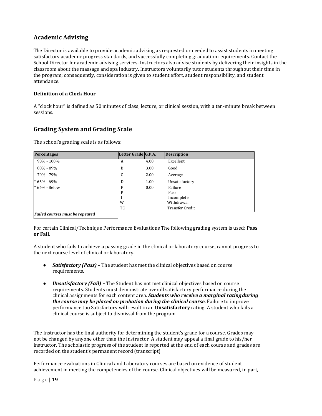## **Academic Advising**

The Director is available to provide academic advising as requested or needed to assist students in meeting satisfactory academic progress standards, and successfully completing graduation requirements. Contact the School Director for academic advising services. Instructors also advise students by delivering their insights in the classroom about the massage and spa industry. Instructors voluntarily tutor students throughout their time in the program; consequently, consideration is given to student effort, student responsibility, and student attendance.

#### **Definition of a Clock Hour**

A "clock hour" is defined as 50 minutes of class, lecture, or clinical session, with a ten-minute break between sessions.

## **Grading System and Grading Scale**

The school's grading scale is as follows:

| <b>Percentages</b>                     | Letter Grade G.P.A. |      | <b>Description</b>     |
|----------------------------------------|---------------------|------|------------------------|
| $90\% - 100\%$                         | A                   | 4.00 | Excellent              |
| 80% - 89%                              | B                   | 3.00 | Good                   |
| 70% - 79%                              | C                   | 2.00 | Average                |
| $*65% - 69%$                           | D                   | 1.00 | Unsatisfactory         |
| * 64% - Below                          | F                   | 0.00 | Failure                |
|                                        | P                   |      | Pass                   |
|                                        |                     |      | Incomplete             |
|                                        | W                   |      | Withdrawal             |
|                                        | TC                  |      | <b>Transfer Credit</b> |
| <b>Failed courses must be repeated</b> |                     |      |                        |

For certain Clinical/Technique Performance Evaluations The following grading system is used: **Pass or Fail.**

A student who fails to achieve a passing grade in the clinical or laboratory course, cannot progress to the next course level of clinical or laboratory.

- *Satisfactory (Pass) –* The student has met the clinical objectives based on course requirements.
- Unsatisfactory (Fail) The Student has not met clinical objectives based on course requirements. Students must demonstrate overall satisfactory performance during the clinical assignments for each content area. *Students who receive a marginal ratingduring the course may be placed on probation during the clinical course.* Failure to improve performance too Satisfactory will result in an **Unsatisfactory** rating. A student who fails a clinical course is subject to dismissal from the program.

The Instructor has the final authority for determining the student's grade for a course. Grades may not be changed by anyone other than the instructor. A student may appeal a final grade to his/her instructor. The scholastic progress of the student is reported at the end of each course and grades are recorded on the student's permanent record (transcript).

Performance evaluations in Clinical and Laboratory courses are based on evidence of student achievement in meeting the competencies of the course. Clinical objectives will be measured, in part,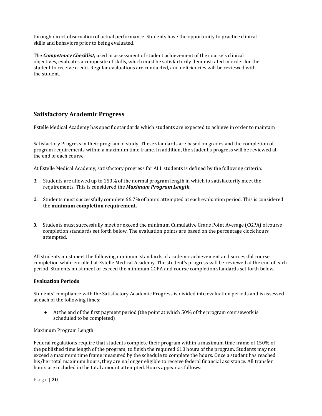through direct observation of actual performance. Students have the opportunity to practice clinical skills and behaviors prior to being evaluated.

The *Competency Checklist,* used in assessment of student achievement of the course's clinical objectives, evaluates a composite of skills, which must be satisfactorily demonstrated in order for the student to receive credit. Regular evaluations are conducted, and deficiencies will be reviewed with the student.

## **Satisfactory Academic Progress**

Estelle Medical Academy has specific standards which students are expected to achieve in order to maintain

Satisfactory Progress in their program of study. These standards are based on grades and the completion of program requirements within a maximum time frame. In addition, the student's progress will be reviewed at the end of each course.

At Estelle Medical Academy, satisfactory progress for ALL students is defined by the following criteria:

- *1.* Students are allowed up to 150% of the normal program length in which to satisfactorily meet the requirements. This is considered the *Maximum Program Length.*
- *2.* Students must successfully complete 66.7% of hours attempted at each evaluation period. This is considered the **minimum completion requirement.**
- *3.* Students must successfully meet or exceed the minimum Cumulative Grade Point Average (CGPA) ofcourse completion standards set forth below. The evaluation points are based on the percentage clock hours attempted.

All students must meet the following minimum standards of academic achievement and successful course completion while enrolled at Estelle Medical Academy. The student's progress will be reviewed at the end of each period. Students must meet or exceed the minimum CGPA and course completion standards set forth below.

#### **Evaluation Periods**

Students' compliance with the Satisfactory Academic Progress is divided into evaluation periods and is assessed at each of the following times:

● Atthe end of the first payment period (the point at which 50% of the program coursework is scheduled to be completed)

#### Maximum Program Length

Federal regulations require that students complete their program within a maximum time frame of 150% of the published time length of the program, to finish the required 610 hours of the program. Students may not exceed a maximum time frame measured by the schedule to complete the hours. Once a student has reached his/her total maximum hours, they are no longer eligible to receive federal financial assistance. All transfer hours are included in the total amount attempted. Hours appear as follows: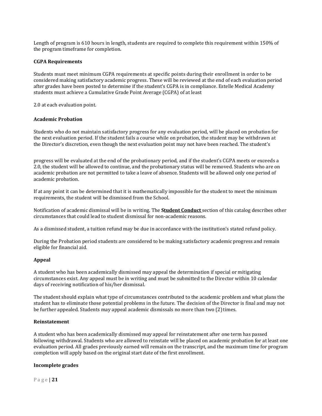Length of program is 610 hours in length, students are required to complete this requirement within 150% of the program timeframe for completion.

#### **CGPA Requirements**

Students must meet minimum CGPA requirements at specific points during their enrollment in order to be considered making satisfactory academic progress. These will be reviewed at the end of each evaluation period after grades have been posted to determine if the student's CGPA is in compliance. Estelle Medical Academy students must achieve a Cumulative Grade Point Average (CGPA) of at least

2.0 at each evaluation point.

#### **Academic Probation**

Students who do not maintain satisfactory progress for any evaluation period, will be placed on probation for the next evaluation period. If the student fails a course while on probation, the student may be withdrawn at the Director's discretion, even though the next evaluation point may not have been reached. The student's

progress will be evaluated at the end of the probationary period, and if the student's CGPA meets or exceeds a 2.0, the student will be allowed to continue, and the probationary status will be removed. Students who are on academic probation are not permitted to take a leave of absence. Students will be allowed only one period of academic probation.

If at any point it can be determined that it is mathematically impossible for the student to meet the minimum requirements, the student will be dismissed from the School.

Notification of academic dismissal will be in writing. The **Student Conduct** section of this catalog describes other circumstances that could lead to student dismissal for non-academic reasons.

As a dismissed student, a tuition refund may be due in accordance with the institution's stated refund policy.

During the Probation period students are considered to be making satisfactory academic progress and remain eligible for financial aid.

#### **Appeal**

A student who has been academically dismissed may appeal the determination if special or mitigating circumstances exist. Any appeal must be in writing and must be submitted to the Director within 10 calendar days of receiving notification of his/her dismissal.

The student should explain what type of circumstances contributed to the academic problem and what plans the student has to eliminate those potential problems in the future. The decision of the Director is final and may not be further appealed. Students may appeal academic dismissals no more than two (2) times.

#### **Reinstatement**

A student who has been academically dismissed may appeal for reinstatement after one term has passed following withdrawal. Students who are allowed to reinstate will be placed on academic probation for at least one evaluation period. All grades previously earned will remain on the transcript, and the maximum time for program completion will apply based on the original start date of the first enrollment.

#### **Incomplete grades**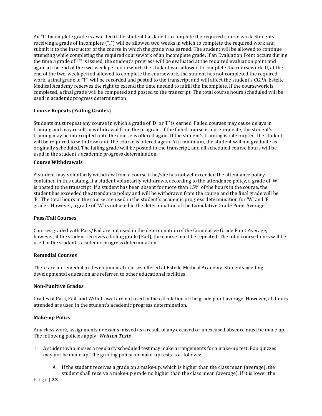An "I" Incomplete grade is awarded if the student has failed to complete the required course work. Students receiving a grade of Incomplete ("I") will be allowed two weeks in which to complete the required work and submit it to the instructor of the course in which the grade was earned. The student will be allowed to continue attending while completing the required coursework of an Incomplete grade. If an Evaluation Point occurs during the time a grade of "I" is issued, the student's progress will be evaluated at the required evaluation point and again at the end of the two-week period in which the student was allowed to complete the coursework. If, at the end of the two-week period allowed to complete the coursework, the student has not completed the required work, a final grade of "F" will be recorded and posted to the transcript and will affect the student's CGPA. Estelle Medical Academy reserves the right to extend the time needed to fulfill the Incomplete. If the coursework is completed, a final grade will be computed and posted to the transcript. The total course hours scheduled will be used in academic progress determination.

#### **Course Repeats (Failing Grades)**

Students must repeat any course in which a grade of 'D' or 'F' is earned. Failed courses may cause delays in training and may result in withdrawal from the program. If the failed course is a prerequisite, the student's training may be interrupted until the course is offered again. If the student's training is interrupted, the student will be required to withdraw until the course is offered again. At a minimum, the student will not graduate as originally scheduled. The failing grade will be posted to the transcript, and all scheduled course hours will be used in the student's academic progress determination.

#### **Course Withdrawals**

A student may voluntarily withdraw from a course if he/she has not yet exceeded the attendance policy contained in this catalog. If a student voluntarily withdraws, according to the attendance policy, a grade of 'W' is posted to the transcript. If a student has been absent for more than 15% of the hours in the course, the student has exceeded the attendance policy and will be withdrawn from the course and the final grade will be 'F'. The total hours in the course are used in the student's academic progress determination for 'W' and 'F' grades. However, a grade of 'W' is not used in the determination of the Cumulative Grade Point Average.

#### **Pass/Fail Courses**

Courses graded with Pass/Fail are not used in the determination of the Cumulative Grade Point Average; however, if the student receives a failing grade (Fail), the course must be repeated. The total course hours will be used in the student's academic progress determination.

#### **Remedial Courses**

There are no remedial or developmental courses offered at Estelle Medical Academy. Students needing developmental education are referred to other educational facilities.

#### **Non-Punitive Grades**

Grades of Pass, Fail, and Withdrawal are not used in the calculation of the grade point average. However, all hours attended are used in the student's academic progress determination.

#### **Make-up Policy**

Any class work, assignments or exams missed as a result of any excused or unexcused absence must be made up. The following policies apply: *Written Tests*

- 1. A student who misses a regularly scheduled test may make arrangements for a make-up test. Pop quizzes may not be made up. The grading policy on make-up tests is as follows:
	- A. If the student receives a grade on a make-up, which is higher than the class mean (average), the student shall receive a make-up grade no higher than the class mean (average). If it is lower,the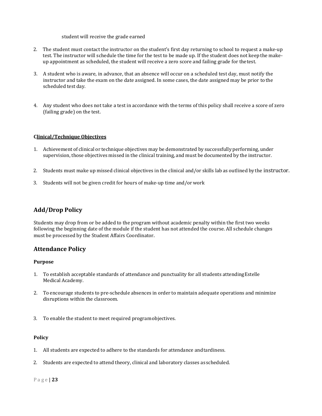#### student will receive the grade earned

- 2. The student must contact the instructor on the student's first day returning to school to request a make-up test. The instructor will schedule the time for the test to be made up. If the student does not keep the makeup appointment as scheduled, the student will receive a zero score and failing grade for thetest.
- 3. A student who is aware, in advance, that an absence will occur on a scheduled test day, must notify the instructor and take the exam on the date assigned. In some cases, the date assigned may be prior to the scheduled test day.
- 4. Any student who does not take a test in accordance with the terms of this policy shall receive a score of zero (failing grade) on the test.

#### **Clinical/Technique Objectives**

- 1. Achievement of clinical or technique objectives may be demonstrated by successfully performing, under supervision, those objectives missed in the clinical training, and must be documented by the instructor.
- 2. Students must make up missed clinical objectives in the clinical and/or skills lab as outlined by the instructor.
- 3. Students will not be given credit for hours of make-up time and/orwork

## **Add/Drop Policy**

Students may drop from or be added to the program without academic penalty within the first two weeks following the beginning date of the module if the student has not attended the course. All schedule changes must be processed by the Student Affairs Coordinator.

#### **Attendance Policy**

#### **Purpose**

- 1. To establish acceptable standards of attendance and punctuality for all students attendingEstelle Medical Academy.
- 2. To encourage students to pre-schedule absences in order to maintain adequate operations and minimize disruptions within the classroom.
- 3. To enable the student to meet required programobjectives.

#### **Policy**

- 1. All students are expected to adhere to the standards for attendance andtardiness.
- 2. Students are expected to attend theory, clinical and laboratory classes as scheduled.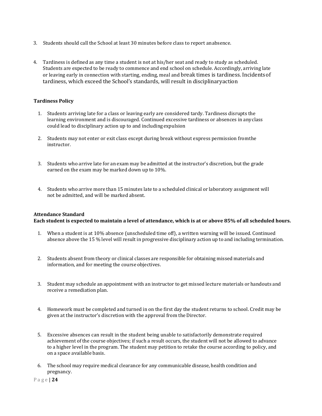- 3. Students should call the School at least 30 minutes before class to report anabsence.
- 4. Tardiness is defined as any time a student is not at his/her seat and ready to study as scheduled. Students are expected to be ready to commence and end school on schedule. Accordingly, arriving late or leaving early in connection with starting, ending, meal and break times is tardiness. Incidentsof tardiness, which exceed the School's standards, will result in disciplinaryaction

#### **Tardiness Policy**

- 1. Students arriving late for a class or leaving early are considered tardy. Tardiness disrupts the learning environment and is discouraged. Continued excessive tardiness or absences in anyclass could lead to disciplinary action up to and including expulsion
- 2. Students may not enter or exit class except during break without express permission fromthe instructor.
- 3. Students who arrive late for an exam may be admitted at the instructor's discretion, butthe grade earned on the exam may be marked down up to 10%.
- 4. Students who arrive more than 15 minutes late to a scheduled clinical or laboratory assignment will not be admitted, and will be marked absent.

#### **Attendance Standard**

**Each student is expected to maintain a level of attendance, which is at or above 85% of all scheduled hours.**

- 1. When a student is at 10% absence (unscheduled time off), a written warning will be issued. Continued absence above the 15 % level will result in progressive disciplinary action up to and including termination.
- 2. Students absent from theory or clinical classes are responsible for obtaining missed materials and information, and for meeting the course objectives.
- 3. Student may schedule an appointment with an instructor to get missed lecture materials or handouts and receive a remediation plan.
- 4. Homework must be completed and turned in on the first day the student returns to school. Credit may be given at the instructor's discretion with the approval from the Director.
- 5. Excessive absences can result in the student being unable to satisfactorily demonstrate required achievement of the course objectives; if such a result occurs, the student will not be allowed to advance to a higher level in the program. The student may petition to retake the course according to policy, and on a space available basis.
- 6. The school may require medical clearance for any communicable disease, health condition and pregnancy.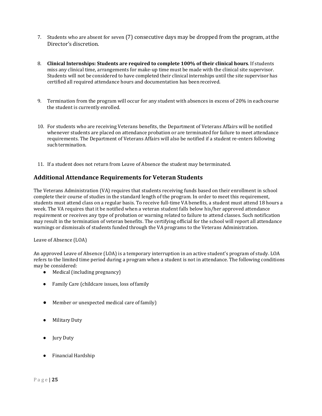- 7. Students who are absent for seven (7) consecutive days may be dropped from the program, atthe Director's discretion.
- 8. **Clinical Internships: Students are required to complete 100% of their clinical hours**. If students miss any clinical time, arrangements for make-up time must be made with the clinical site supervisor. Students will not be considered to have completed their clinical internships until the site supervisor has certified all required attendance hours and documentation has been received.
- 9. Termination from the program will occur for any student with absences in excess of 20% in eachcourse the student is currently enrolled.
- 10. For students who are receiving Veterans benefits, the Department of Veterans Affairs will be notified whenever students are placed on attendance probation or are terminated for failure to meet attendance requirements. The Department of Veterans Affairs will also be notified if a student re-enters following such termination.
- 11. If a student does not return from Leave of Absence the student may beterminated.

## **Additional Attendance Requirements for Veteran Students**

The Veterans Administration (VA) requires that students receiving funds based on their enrollment in school complete their course of studies in the standard length of the program. In order to meet this requirement, students must attend class on a regular basis. To receive full-time VA benefits, a student must attend 18 hours a week. The VA requires that it be notified when a veteran student falls below his/her approved attendance requirement or receives any type of probation or warning related to failure to attend classes. Such notification may result in the termination of veteran benefits. The certifying official for the school will report all attendance warnings or dismissals of students funded through the VA programs to the Veterans Administration.

Leave of Absence (LOA)

An approved Leave of Absence (LOA) is a temporary interruption in an active student's program of study. LOA refers to the limited time period during a program when a student is not in attendance. The following conditions may be considered:

- Medical (including pregnancy)
- Family Care (childcare issues, loss offamily
- Member or unexpected medical care offamily)
- **Military Duty**
- Jury Duty
- Financial Hardship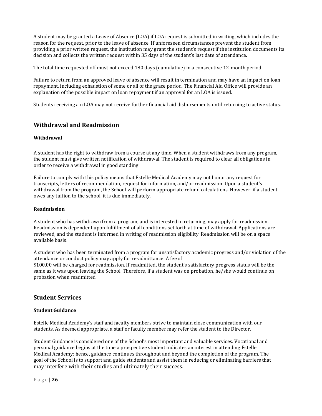A student may be granted a Leave of Absence (LOA) if LOA request is submitted in writing, which includes the reason for the request, prior to the leave of absence. If unforeseen circumstances prevent the student from providing a prior written request, the institution may grant the student's request if the institution documents its decision and collects the written request within 35 days of the student's last date of attendance.

The total time requested off must not exceed 180 days (cumulative) in a consecutive 12-month period.

Failure to return from an approved leave of absence will result in termination and may have an impact on loan repayment, including exhaustion of some or all of the grace period. The Financial Aid Office will provide an explanation of the possible impact on loan repayment if an approval for an LOA is issued.

Students receiving a n LOA may not receive further financial aid disbursements until returning to active status.

### **Withdrawal and Readmission**

#### **Withdrawal**

A student has the right to withdraw from a course at any time. When a student withdraws from any program, the student must give written notification of withdrawal. The student is required to clear all obligations in order to receive a withdrawal in good standing.

Failure to comply with this policy means that Estelle Medical Academy may not honor any request for transcripts, letters of recommendation, request for information, and/or readmission. Upon a student's withdrawal from the program, the School will perform appropriate refund calculations. However, if a student owes any tuition to the school, it is due immediately.

#### **Readmission**

A student who has withdrawn from a program, and is interested in returning, may apply for readmission. Readmission is dependent upon fulfillment of all conditions set forth at time of withdrawal. Applications are reviewed, and the student is informed in writing of readmission eligibility. Readmission will be on a space available basis.

A student who has been terminated from a program for unsatisfactory academic progress and/or violation of the attendance or conduct policy may apply for re-admittance. A fee of

\$100.00 will be charged for readmission. If readmitted, the student's satisfactory progress status will be the same as it was upon leaving the School. Therefore, if a student was on probation, he/she would continue on probation when readmitted.

### **Student Services**

#### **Student Guidance**

Estelle Medical Academy's staff and faculty members strive to maintain close communication with our students. As deemed appropriate, a staff or faculty member may refer the student to the Director.

Student Guidance is considered one of the School's most important and valuable services. Vocational and personal guidance begins at the time a prospective student indicates an interest in attending Estelle Medical Academy; hence, guidance continues throughout and beyond the completion of the program. The goal of the School is to support and guide students and assist them in reducing or eliminating barriers that may interfere with their studies and ultimately their success.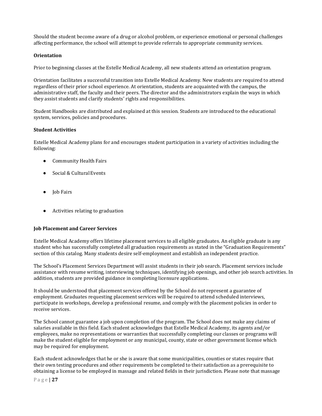Should the student become aware of a drug or alcohol problem, or experience emotional or personal challenges affecting performance, the school will attempt to provide referrals to appropriate community services.

#### **Orientation**

Prior to beginning classes at the Estelle Medical Academy, all new students attend an orientation program.

Orientation facilitates a successful transition into Estelle Medical Academy. New students are required to attend regardless of their prior school experience. At orientation, students are acquainted with the campus, the administrative staff, the faculty and their peers. The director and the administrators explain the ways in which they assist students and clarify students' rights and responsibilities.

Student Handbooks are distributed and explained at this session. Students are introduced to the educational system, services, policies and procedures.

#### **Student Activities**

Estelle Medical Academy plans for and encourages student participation in a variety of activities including the following:

- Community Health Fairs
- Social & Cultural Events
- Job Fairs
- Activities relating to graduation

#### **Job Placement and Career Services**

Estelle Medical Academy offers lifetime placement services to all eligible graduates. An eligible graduate is any student who has successfully completed all graduation requirements as stated in the "Graduation Requirements" section of this catalog. Many students desire self-employment and establish an independent practice.

The School's Placement Services Department will assist students in their job search. Placement services include assistance with resume writing, interviewing techniques, identifying job openings, and other job search activities. In addition, students are provided guidance in completing licensure applications.

It should be understood that placement services offered by the School do not represent a guarantee of employment. Graduates requesting placement services will be required to attend scheduled interviews, participate in workshops, develop a professional resume, and comply with the placement policies in order to receive services.

The School cannot guarantee a job upon completion of the program. The School does not make any claims of salaries available in this field. Each student acknowledges that Estelle Medical Academy, its agents and/or employees, make no representations or warranties that successfully completing our classes or programs will make the student eligible for employment or any municipal, county, state or other government license which may be required for employment.

Each student acknowledges that he or she is aware that some municipalities, counties or states require that their own testing procedures and other requirements be completed to their satisfaction as a prerequisite to obtaining a license to be employed in massage and related fields in their jurisdiction. Please note that massage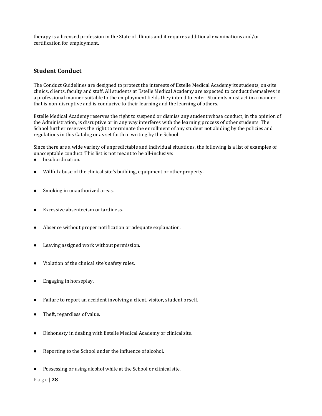therapy is a licensed profession in the State of Illinois and it requires additional examinations and/or certification for employment.

## **Student Conduct**

The Conduct Guidelines are designed to protect the interests of Estelle Medical Academy its students, on-site clinics, clients, faculty and staff. All students at Estelle Medical Academy are expected to conduct themselves in a professional manner suitable to the employment fields they intend to enter. Students must act in a manner that is non-disruptive and is conducive to their learning and the learning of others.

Estelle Medical Academy reserves the right to suspend or dismiss any student whose conduct, in the opinion of the Administration, is disruptive or in any way interferes with the learning process of other students. The School further reserves the right to terminate the enrollment of any student not abiding by the policies and regulations in this Catalog or as set forth in writing by the School.

Since there are a wide variety of unpredictable and individual situations, the following is a list of examples of unacceptable conduct. This list is not meant to be all-inclusive:

- Insubordination.
- Willful abuse of the clinical site's building, equipment or other property.
- Smoking in unauthorized areas.
- Excessive absenteeism or tardiness.
- Absence without proper notification or adequate explanation.
- Leaving assigned work without permission.
- Violation of the clinical site's safety rules.
- Engaging in horseplay.
- Failure to report an accident involving a client, visitor, student orself.
- Theft, regardless of value.
- Dishonesty in dealing with Estelle Medical Academy or clinical site.
- Reporting to the School under the influence of alcohol.
- Possessing or using alcohol while at the School or clinical site.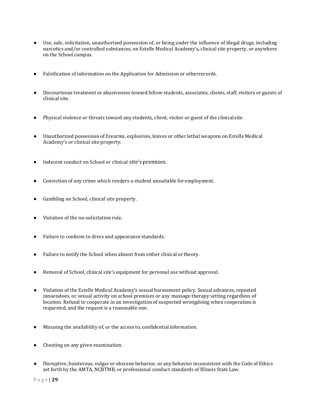- Use, sale, solicitation, unauthorized possession of, or being under the influence of illegal drugs, including narcotics and/or controlled substances, on Estelle Medical Academy's*,* clinical site property, or anywhere on the School campus.
- Falsification of information on the Application for Admission or otherrecords.
- Discourteous treatment or abusiveness toward fellow students, associates, clients, staff, visitors or guests of clinical site.
- Physical violence or threats toward any students, client, visitor or guest of the clinical site.
- Unauthorized possession of firearms, explosives, knives or other lethal weapons on Estelle Medical Academy's or clinical site property.
- Indecent conduct on School or clinical site's premises.
- Conviction of any crime which renders a student unsuitable for employment.
- Gambling on School, clinical site property.
- Violation of the no-solicitation rule.
- Failure to conform to dress and appearance standards.
- Failure to notify the School when absent from either clinical or theory.
- Removal of School, clinical site's equipment for personal use without approval.
- Violation of the Estelle Medical Academy's sexual harassment policy. Sexual advances, repeated innuendoes, or sexual activity on school premises or any massage therapy setting regardless of location. Refusal to cooperate in an investigation of suspected wrongdoing when cooperation is requested, and the request is a reasonable one.
- Misusing the availability of, or the access to, confidential information.
- Cheating on any given examination.
- Disruptive, boisterous, vulgar or obscene behavior, or any behavior inconsistent with the Code of Ethics set forth by the AMTA, NCBTMB, or professional conduct standards of Illinois State Law.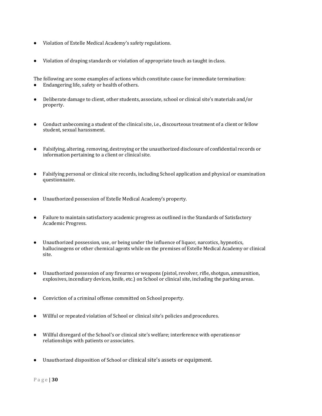- Violation of Estelle Medical Academy's safety regulations.
- Violation of draping standards or violation of appropriate touch as taught inclass.

The following are some examples of actions which constitute cause for immediate termination:<br>• Endangering life, safety or health of others.

- Endangering life, safety or health of others.
- Deliberate damage to client, other students, associate, school or clinical site's materials and/or property.
- Conduct unbecoming a student of the clinical site, i.e., discourteous treatment of a client or fellow student, sexual harassment.
- Falsifying, altering, removing, destroying or the unauthorized disclosure of confidential records or information pertaining to a client or clinical site.
- Falsifying personal or clinical site records, including School application and physical or examination questionnaire.
- Unauthorized possession of Estelle Medical Academy's property.
- Failure to maintain satisfactory academic progress as outlined in the Standards of Satisfactory Academic Progress.
- Unauthorized possession, use, or being under the influence of liquor, narcotics, hypnotics, hallucinogens or other chemical agents while on the premises of Estelle Medical Academy or clinical site.
- Unauthorized possession of any firearms or weapons (pistol, revolver, rifle, shotgun, ammunition, explosives, incendiary devices, knife, etc.) on School or clinical site, including the parking areas.
- Conviction of a criminal offense committed on School property.
- Willful or repeated violation of School or clinical site's policies andprocedures.
- Willful disregard of the School's or clinical site's welfare; interference with operations or relationships with patients or associates.
- Unauthorized disposition of School or clinical site's assets or equipment.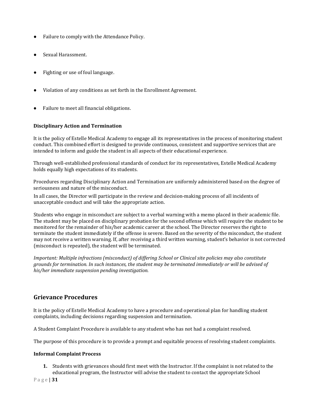- Failure to comply with the Attendance Policy.
- Sexual Harassment.
- Fighting or use of foul language.
- Violation of any conditions as set forth in the Enrollment Agreement.
- Failure to meet all financial obligations.

#### **Disciplinary Action and Termination**

It is the policy of Estelle Medical Academy to engage all its representatives in the process of monitoring student conduct. This combined effort is designed to provide continuous, consistent and supportive services that are intended to inform and guide the student in all aspects of their educational experience.

Through well-established professional standards of conduct for its representatives, Estelle Medical Academy holds equally high expectations of its students.

Procedures regarding Disciplinary Action and Termination are uniformly administered based on the degree of seriousness and nature of the misconduct.

In all cases, the Director will participate in the review and decision-making process of all incidents of unacceptable conduct and will take the appropriate action.

Students who engage in misconduct are subject to a verbal warning with a memo placed in their academic file. The student may be placed on disciplinary probation for the second offense which will require the student to be monitored for the remainder of his/her academic career at the school. The Director reserves the right to terminate the student immediately if the offense is severe. Based on the severity of the misconduct, the student may not receive a written warning. If, after receiving a third written warning, student's behavior is not corrected (misconduct is repeated), the student will be terminated.

*Important: Multiple infractions (misconduct) of differing School or Clinical site policies may also constitute grounds for termination. In such instances, the student may be terminated immediately or will be advised of his/her immediate suspension pending investigation.*

#### **Grievance Procedures**

It is the policy of Estelle Medical Academy to have a procedure and operational plan for handling student complaints, including decisions regarding suspension and termination.

A Student Complaint Procedure is available to any student who has not had a complaint resolved.

The purpose of this procedure is to provide a prompt and equitable process of resolving student complaints.

#### **Informal Complaint Process**

**1.** Students with grievances should first meet with the Instructor. If the complaint is not related to the educational program, the Instructor will advise the student to contact the appropriate School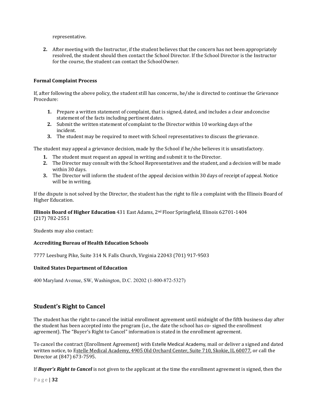representative.

**2.** After meeting with the Instructor, if the student believes that the concern has not been appropriately resolved, the student should then contact the School Director. If the School Director is the Instructor for the course, the student can contact the SchoolOwner.

#### **Formal Complaint Process**

If, after following the above policy, the student still has concerns, he/she is directed to continue the Grievance Procedure:

- **1.** Prepare a written statement of complaint, that is signed, dated, and includes a clear andconcise statement of the facts including pertinent dates.
- **2.** Submit the written statement of complaint to the Director within 10 working days of the incident.
- **3.** The student may be required to meet with School representatives to discuss thegrievance.

The student may appeal a grievance decision, made by the School if he/she believes it is unsatisfactory.

- **1.** The student must request an appeal in writing and submit it to the Director.
- **2.** The Director may consult with the School Representatives and the student, and a decision will be made within 30 days.
- **3.** The Director will inform the student of the appeal decision within 30 days of receipt of appeal. Notice will be in writing.

If the dispute is not solved by the Director, the student has the right to file a complaint with the Illinois Board of Higher Education.

**Illinois Board of Higher Education** 431 East Adams, 2nd Floor Springfield, Illinois 62701-1404 (217) 782-2551

Students may also contact:

#### **Accrediting Bureau of Health Education Schools**

7777 Leesburg Pike, Suite 314 N. Falls Church, Virginia 22043 (701) 917-9503

#### **United States Department of Education**

400 Maryland Avenue, SW, Washington, D.C. 20202 (1-800-872-5327)

## **Student's Right to Cancel**

The student has the right to cancel the initial enrollment agreement until midnight of the fifth business day after the student has been accepted into the program (i.e., the date the school has co- signed the enrollment agreement). The "Buyer's Right to Cancel" information is stated in the enrollment agreement.

To cancel the contract (Enrollment Agreement) with Estelle Medical Academy, mail or deliver a signed and dated written notice, to Estelle Medical Academy, 4905 Old Orchard Center, Suite 710, Skokie, IL 60077, or call the Director at (847) 673-7595.

If *Buyer's Right to Cancel* is not given to the applicant at the time the enrollment agreement is signed, then the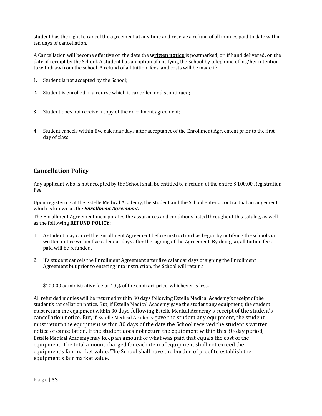student has the right to cancel the agreement at any time and receive a refund of all monies paid to date within ten days of cancellation.

A Cancellation will become effective on the date the **written notice** is postmarked, or, if hand delivered, on the date of receipt by the School. A student has an option of notifying the School by telephone of his/her intention to withdraw from the school. A refund of all tuition, fees, and costs will be made if:

- 1. Student is not accepted by the School;
- 2. Student is enrolled in a course which is cancelled or discontinued;
- 3. Student does not receive a copy of the enrollment agreement;
- 4. Student cancels within five calendar days after acceptance of the Enrollment Agreement prior to the first day of class.

## **Cancellation Policy**

Any applicant who is not accepted by the School shall be entitled to a refund of the entire \$ 100.00 Registration Fee.

Upon registering at the Estelle Medical Academy, the student and the School enter a contractual arrangement, which is known as the *Enrollment Agreement.*

The Enrollment Agreement incorporates the assurances and conditions listed throughout this catalog, as well as the following **REFUND POLICY:**

- 1. A student may cancel the Enrollment Agreement before instruction has begun by notifying the school via written notice within five calendar days after the signing of the Agreement. By doing so, all tuition fees paid will be refunded.
- 2. If a student cancels the Enrollment Agreement after five calendar days of signing the Enrollment Agreement but prior to entering into instruction, the School will retaina

\$100.00 administrative fee or 10% of the contract price, whichever is less.

All refunded monies will be returned within 30 days following Estelle Medical Academy**'**s receipt of the student's cancellation notice. But, if Estelle Medical Academy gave the student any equipment, the student must return the equipment within 30 days following Estelle Medical Academy**'**s receipt of the student's cancellation notice. But, if Estelle Medical Academy gave the student any equipment, the student must return the equipment within 30 days of the date the School received the student's written notice of cancellation. If the student does not return the equipment within this 30-day period, Estelle Medical Academy may keep an amount of what was paid that equals the cost of the equipment. The total amount charged for each item of equipment shall not exceed the equipment's fair market value. The School shall have the burden of proof to establish the equipment's fair market value.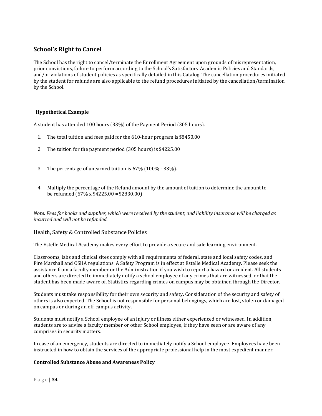## **School's Right to Cancel**

The School has the right to cancel/terminate the Enrollment Agreement upon grounds of misrepresentation, prior convictions, failure to perform according to the School's Satisfactory Academic Policies and Standards, and/or violations of student policies as specifically detailed in this Catalog. The cancellation procedures initiated by the student for refunds are also applicable to the refund procedures initiated by the cancellation/termination by the School.

#### **Hypothetical Example**

A student has attended 100 hours (33%) of the Payment Period (305 hours).

- 1. The total tuition and fees paid for the 610-hour program is \$8450.00
- 2. The tuition for the payment period (305 hours) is \$4225.00
- 3. The percentage of unearned tuition is 67% (100% 33%).
- 4. Multiply the percentage of the Refund amount by the amount of tuition to determine the amount to be refunded (67% x \$4225.00 = \$2830.00)

*Note: Fees for books and supplies, which were received by the student, and liability insurance will be charged as incurred and will not be refunded.*

#### Health, Safety & Controlled Substance Policies

The Estelle Medical Academy makes every effort to provide a secure and safe learning environment.

Classrooms, labs and clinical sites comply with all requirements of federal, state and local safety codes, and Fire Marshall and OSHA regulations. A Safety Program is in effect at Estelle Medical Academy. Please seek the assistance from a faculty member or the Administration if you wish to report a hazard or accident. All students and others are directed to immediately notify a school employee of any crimes that are witnessed, or that the student has been made aware of. Statistics regarding crimes on campus may be obtained through the Director.

Students must take responsibility for their own security and safety. Consideration of the security and safety of others is also expected. The School is not responsible for personal belongings, which are lost, stolen or damaged on campus or during an off-campus activity.

Students must notify a School employee of an injury or illness either experienced or witnessed. In addition, students are to advise a faculty member or other School employee, if they have seen or are aware of any comprises in security matters.

In case of an emergency, students are directed to immediately notify a School employee. Employees have been instructed in how to obtain the services of the appropriate professional help in the most expedient manner.

#### **Controlled Substance Abuse and Awareness Policy**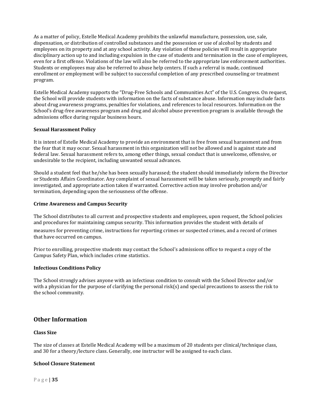As a matter of policy, Estelle Medical Academy prohibits the unlawful manufacture, possession, use, sale, dispensation, or distribution of controlled substances and the possession or use of alcohol by students and employees on its property and at any school activity. Any violation of these policies will result in appropriate disciplinary action up to and including expulsion in the case of students and termination in the case of employees, even for a first offense. Violations of the law will also be referred to the appropriate law enforcement authorities. Students or employees may also be referred to abuse help centers. If such a referral is made, continued enrollment or employment will be subject to successful completion of any prescribed counseling or treatment program.

Estelle Medical Academy supports the "Drug-Free Schools and Communities Act" of the U.S. Congress. On request, the School will provide students with information on the facts of substance abuse. Information may include facts about drug awareness programs, penalties for violations, and references to local resources. Information on the School's drug-free awareness program and drug and alcohol abuse prevention program is available through the admissions office during regular business hours.

#### **Sexual Harassment Policy**

It is intent of Estelle Medical Academy to provide an environment that is free from sexual harassment and from the fear that it may occur. Sexual harassment in this organization will not be allowed and is against state and federal law. Sexual harassment refers to, among other things, sexual conduct that is unwelcome, offensive, or undesirable to the recipient, including unwanted sexual advances.

Should a student feel that he/she has been sexually harassed; the student should immediately inform the Director or Students Affairs Coordinator. Any complaint of sexual harassment will be taken seriously, promptly and fairly investigated, and appropriate action taken if warranted. Corrective action may involve probation and/or termination, depending upon the seriousness of the offense.

#### **Crime Awareness and Campus Security**

The School distributes to all current and prospective students and employees, upon request, the School policies and procedures for maintaining campus security. This information provides the student with details of

measures for preventing crime, instructions for reporting crimes or suspected crimes, and a record of crimes that have occurred on campus.

Prior to enrolling, prospective students may contact the School's admissions office to request a copy of the Campus Safety Plan, which includes crime statistics.

#### **Infectious Conditions Policy**

The School strongly advises anyone with an infectious condition to consult with the School Director and/or with a physician for the purpose of clarifying the personal risk(s) and special precautions to assess the risk to the school community.

#### **Other Information**

#### **Class Size**

The size of classes at Estelle Medical Academy will be a maximum of 20 students per clinical/technique class, and 30 for a theory/lecture class. Generally, one instructor will be assigned to each class.

#### **School Closure Statement**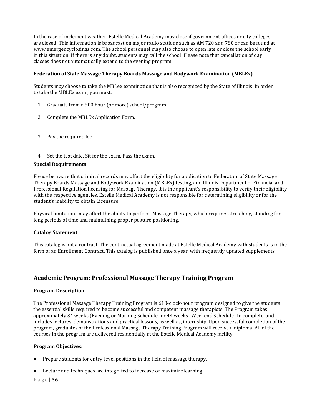In the case of inclement weather, Estelle Medical Academy may close if government offices or city colleges are closed. This information is broadcast on major radio stations such as AM 720 and 780 or can be found a[t](http://www.emergencyclosings.com/) [www.emergencyclosings.com. T](http://www.emergencyclosings.com/)he school personnel may also choose to open late or close the school early in this situation. If there is any doubt, students may call the school. Please note that cancellation of day classes does not automatically extend to the evening program.

#### **Federation of State Massage Therapy Boards Massage and Bodywork Examination (MBLEx)**

Students may choose to take the MBLex examination that is also recognized by the State of Illinois. In order to take the MBLEx exam, you must:

- 1. Graduate from a 500 hour (or more) school/program
- 2. Complete the MBLEx Application Form.
- 3. Pay the required fee.
- 4. Set the test date. Sit for the exam. Pass the exam.

#### **Special Requirements**

Please be aware that criminal records may affect the eligibility for application to Federation of State Massage Therapy Boards Massage and Bodywork Examination (MBLEx) testing, and Illinois Department of Financial and Professional Regulation licensing for Massage Therapy. It is the applicant's responsibility to verify their eligibility with the respective agencies. Estelle Medical Academy is not responsible for determining eligibility or for the student's inability to obtain Licensure.

Physical limitations may affect the ability to perform Massage Therapy, which requires stretching, standing for long periods of time and maintaining proper posture positioning.

#### **Catalog Statement**

This catalog is not a contract. The contractual agreement made at Estelle Medical Academy with students is in the form of an Enrollment Contract. This catalog is published once a year, with frequently updated supplements.

## **Academic Program: Professional Massage Therapy Training Program**

#### **Program Description:**

The Professional Massage Therapy Training Program is 610-clock-hour program designed to give the students the essential skills required to become successful and competent massage therapists. The Program takes approximately 34 weeks (Evening or Morning Schedule) or 44 weeks (Weekend Schedule) to complete, and includes lectures, demonstrations and practical lessons, as well as, internship. Upon successful completion of the program, graduates of the Professional Massage Therapy Training Program will receive a diploma. All of the courses in the program are delivered residentially at the Estelle Medical Academy facility.

#### **Program Objectives:**

- Prepare students for entry-level positions in the field of massage therapy.
- Lecture and techniques are integrated to increase or maximize learning.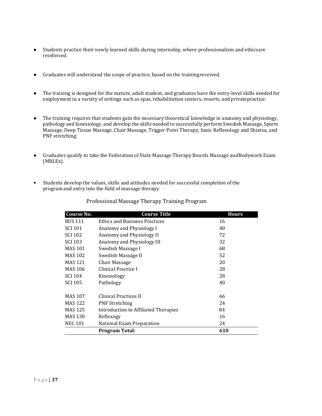- Students practice their newly learned skills during internship, where professionalism and ethicsare reinforced.
- Graduates will understand the scope of practice, based on the trainingreceived.
- The training is designed for the mature, adult student, and graduates have the entry-level skills needed for employment in a variety of settings such as spas, rehabilitation centers, resorts, and privatepractice.
- The training requires that students gain the necessary theoretical knowledge in anatomy and physiology, pathology and kinesiology, and develop the skills needed to successfully perform Swedish Massage, Sports Massage, Deep Tissue Massage, Chair Massage, Trigger Point Therapy, basic Reflexology and Shiatsu, and PNF stretching.
- Graduates qualify to take the Federation of State Massage Therapy Boards Massage andBodywork Exam (MBLEx).
- Students develop the values, skills and attitudes needed for successful completion of the program and entry into the field of massage therapy.

| <b>Course No.</b> | <b>Course Title</b>                  | <b>Hours</b> |
|-------------------|--------------------------------------|--------------|
| <b>BUS 111</b>    | <b>Ethics and Business Practices</b> | 16           |
| <b>SCI 101</b>    | Anatomy and Physiology I             | 40           |
| <b>SCI 102</b>    | Anatomy and Physiology II            | 72           |
| <b>SCI 103</b>    | Anatomy and Physiology III           | 32           |
| <b>MAS 101</b>    | Swedish Massage I                    | 68           |
| MAS 102           | Swedish Massage II                   | 52           |
| <b>MAS 121</b>    | Chair Massage                        | 20           |
| MAS 106           | Clinical Practice I                  | 28           |
| <b>SCI 104</b>    | Kinesiology                          | 28           |
| SCI 105           | Pathology                            | 40           |
| MAS 107           | Clinical Practices II                | 66           |
| <b>MAS 122</b>    | <b>PNF Stretching</b>                | 24           |
| <b>MAS 125</b>    | Introduction to Affiliated Therapies | 84           |
| <b>MAS 130</b>    | Reflexogy                            | 16           |
| <b>NEC 101</b>    | National Exam Preparation            | 24           |
|                   | Program Total:                       | 610          |

#### Professional Massage Therapy Training Program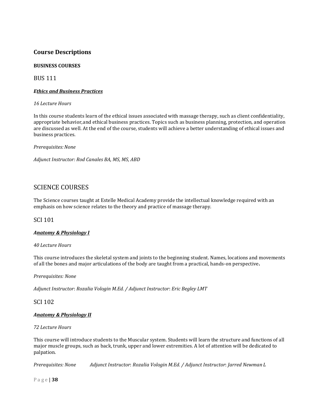## **Course Descriptions**

### **BUSINESS COURSES**

BUS 111

#### *Ethics and Business Practices*

*16 Lecture Hours*

In this course students learn of the ethical issues associated with massage therapy, such as client confidentiality, appropriate behavior,and ethical business practices. Topics such as business planning, protection, and operation are discussed as well. At the end of the course, students will achieve a better understanding of ethical issues and business practices.

*Prerequisites:None*

*Adjunct Instructor: Rod Canales BA, MS, MS, ABD*

## SCIENCE COURSES

The Science courses taught at Estelle Medical Academy provide the intellectual knowledge required with an emphasis on how science relates to the theory and practice of massage therapy.

#### SCI 101

#### *Anatomy & Physiology I*

#### *40 Lecture Hours*

This course introduces the skeletal system and joints to the beginning student. Names, locations and movements of all the bones and major articulations of the body are taught from a practical, hands-on perspective**.**

*Prerequisites: None*

*Adjunct Instructor*: *Rozalia Vologin M.Ed. / Adjunct Instructor*: *Eric Begley LMT*

SCI 102

#### *Anatomy & Physiology II*

#### *72 Lecture Hours*

This course will introduce students to the Muscular system. Students will learn the structure and functions of all major muscle groups, such as back, trunk, upper and lower extremities. A lot of attention will be dedicated to palpation.

*Prerequisites: None Adjunct Instructor*: *Rozalia Vologin M.Ed. / Adjunct Instructor*: *Jarred Newman L*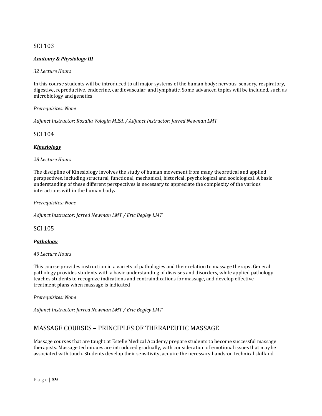### SCI 103

#### *Anatomy & Physiology III*

#### *32 Lecture Hours*

In this course students will be introduced to all major systems of the human body: nervous, sensory, respiratory, digestive, reproductive, endocrine, cardiovascular, and lymphatic. Some advanced topics will be included, such as microbiology and genetics.

#### *Prerequisites: None*

*Adjunct Instructor*: *Rozalia Vologin M.Ed. / Adjunct Instructor*: *Jarred Newman LMT*

#### SCI 104

#### *Kinesiology*

#### *28 Lecture Hours*

The discipline of Kinesiology involves the study of human movement from many theoretical and applied perspectives, including structural, functional, mechanical, historical, psychological and sociological. A basic understanding of these different perspectives is necessary to appreciate the complexity of the various interactions within the human body**.**

*Prerequisites: None*

*Adjunct Instructor*: *Jarred Newman LMT / Eric Begley LMT*

SCI 105

#### *Pathology*

#### *40 Lecture Hours*

This course provides instruction in a variety of pathologies and their relation to massage therapy. General pathology provides students with a basic understanding of diseases and disorders, while applied pathology teaches students to recognize indications and contraindications for massage, and develop effective treatment plans when massage is indicated

*Prerequisites: None*

*Adjunct Instructor*: *Jarred Newman LMT / Eric Begley LMT*

## MASSAGE COURSES – PRINCIPLES OF THERAPEUTIC MASSAGE

Massage courses that are taught at Estelle Medical Academy prepare students to become successful massage therapists. Massage techniques are introduced gradually, with consideration of emotional issues that may be associated with touch. Students develop their sensitivity, acquire the necessary hands-on technical skilland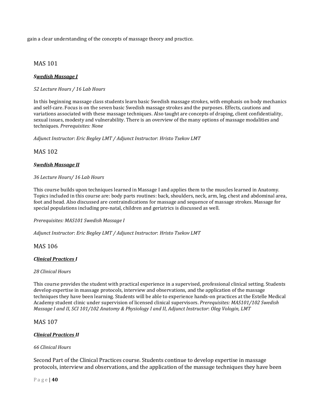gain a clear understanding of the concepts of massage theory and practice.

### MAS 101

#### *Swedish Massage I*

#### *52 Lecture Hours / 16 Lab Hours*

In this beginning massage class students learn basic Swedish massage strokes, with emphasis on body mechanics and self-care. Focus is on the seven basic Swedish massage strokes and the purposes. Effects, cautions and variations associated with these massage techniques. Also taught are concepts of draping, client confidentiality, sexual issues, modesty and vulnerability. There is an overview of the many options of massage modalities and techniques. *Prerequisites: None*

*Adjunct Instructor*: *Eric Begley LMT / Adjunct Instructor*: *Hristo Tsekov LMT*

#### MAS 102

#### *Swedish Massage II*

#### *36 Lecture Hours/ 16 Lab Hours*

This course builds upon techniques learned in Massage I and applies them to the muscles learned in Anatomy. Topics included in this course are: body parts routines: back, shoulders, neck, arm, leg, chest and abdominal area, foot and head. Also discussed are contraindications for massage and sequence of massage strokes. Massage for special populations including pre-natal, children and geriatrics is discussed as well.

*Prerequisites: MAS101 Swedish Massage I*

*Adjunct Instructor*: *Eric Begley LMT / Adjunct Instructor*: *Hristo Tsekov LMT*

#### MAS 106

#### *Clinical Practices I*

#### *28 Clinical Hours*

This course provides the student with practical experience in a supervised, professional clinical setting. Students develop expertise in massage protocols, interview and observations, and the application of the massage techniques they have been learning. Students will be able to experience hands-on practices at the Estelle Medical Academy student clinic under supervision of licensed clinical supervisors. *Prerequisites: MAS101/102 Swedish Massage I and II, SCI 101/102 Anatomy & Physiology I and II, Adjunct Instructor*: *Oleg Vologin, LMT*

#### MAS 107

#### *Clinical Practices II*

#### *66 Clinical Hours*

Second Part of the Clinical Practices course. Students continue to develop expertise in massage protocols, interview and observations, and the application of the massage techniques they have been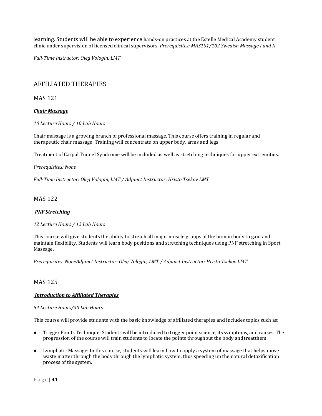learning. Students will be able to experience hands-on practices at the Estelle Medical Academy student clinic under supervision of licensed clinical supervisors. *Prerequisites: MAS101/102 Swedish Massage I and II*

*Full-Time Instructor: Oleg Vologin, LMT*

## AFFILIATED THERAPIES

MAS 121

#### *Chair Massage*

*10 Lecture Hours / 10 Lab Hours*

Chair massage is a growing branch of professional massage. This course offers training in regular and therapeutic chair massage. Training will concentrate on upper body, arms and legs.

Treatment of Carpal Tunnel Syndrome will be included as well as stretching techniques for upper extremities.

#### *Prerequisites: None*

*Full-Time Instructor*: *Oleg Vologin, LMT / Adjunct Instructor*: *Hristo Tsekov LMT*

#### MAS 122

#### *PNF Stretching*

#### *12 Lecture Hours / 12 Lab Hours*

This course will give students the ability to stretch all major muscle groups of the human body to gain and maintain flexibility. Students will learn body positions and stretching techniques using PNF stretching in Sport Massage.

*Prerequisites: NoneAdjunct Instructor*: *Oleg Vologin, LMT / Adjunct Instructor*: *Hristo Tsekov LMT*

#### MAS 125

#### *Introduction to Affiliated Therapies*

#### *54 Lecture Hours/30 Lab Hours*

This course will provide students with the basic knowledge of affiliated therapies and includes topics such as:

- Trigger Points Technique: Students will be introduced to trigger point science, its symptoms, and causes. The progression of the course will train students to locate the points throughout the body andtreatthem.
- Lymphatic Massage: In this course, students will learn how to apply a system of massage that helps move waste matter through the body through the lymphatic system, thus speeding up the natural detoxification process of the system.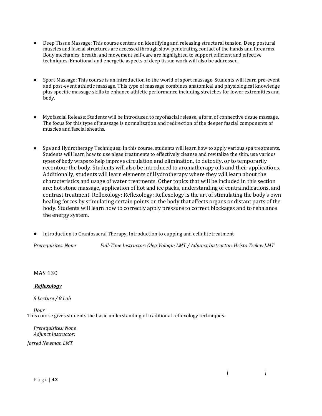- Deep Tissue Massage: This course centers on identifying and releasing structural tension, Deep postural muscles and fascial structures are accessed through slow, penetrating contact of the hands and forearms. Body mechanics, breath, and movement self-care are highlighted to support efficient and effective techniques. Emotional and energetic aspects of deep tissue work will also be addressed.
- Sport Massage: This course is an introduction to the world of sport massage. Students will learn pre-event and post-event athletic massage. This type of massage combines anatomical and physiological knowledge plus specific massage skills to enhance athletic performance including stretches for lower extremities and body.
- Myofascial Release: Students will be introduced to myofascial release, a form of connective tissue massage. The focus for this type of massage is normalization and redirection of the deeper fascial components of muscles and fascial sheaths.
- Spa and Hydrotherapy Techniques: In this course, students will learn how to apply various spa treatments. Students will learn how to use algae treatments to effectively cleanse and revitalize the skin, use various types of body wraps to help improve circulation and elimination, to detoxify, or to temporarily recontour the body. Students will also be introduced to aromatherapy oils and their applications. Additionally, students will learn elements of Hydrotherapy where they will learn about the characteristics and usage of water treatments. Other topics that will be included in this section are: hot stone massage, application of hot and ice packs, understanding of contraindications, and contrast treatment. Reflexology: Reflexology: Reflexology is the art of stimulating the body's own healing forces by stimulating certain points on the body that affects organs or distant parts of the body. Students will learn how to correctly apply pressure to correct blockages and to rebalance the energy system.
- Introduction to Craniosacral Therapy, Introduction to cupping and cellulitetreatment

*Prerequisites: None Full-Time Instructor*: *Oleg Vologin LMT / Adjunct Instructor*: *Hristo Tsekov LMT*

## MAS 130

#### *Reflexology*

*8 Lecture / 8 Lab*

*Hour* This course gives students the basic understanding of traditional reflexology techniques.

*Prerequisites: None Adjunct Instructor*: *Jarred Newman LMT*

 $\mathbf{I}$ 

 $\mathbf{I}$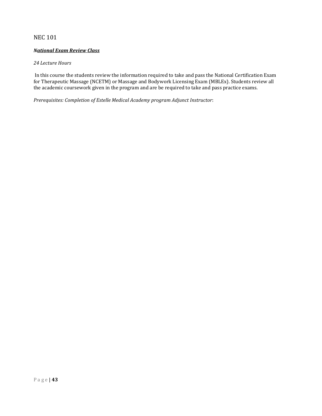## NEC 101

#### *National Exam Review Class*

#### *24 Lecture Hours*

In this course the students review the information required to take and pass the National Certification Exam for Therapeutic Massage (NCETM) or Massage and Bodywork Licensing Exam (MBLEx). Students review all the academic coursework given in the program and are be required to take and pass practice exams.

*Prerequisites: Completion of Estelle Medical Academy program Adjunct Instructor*: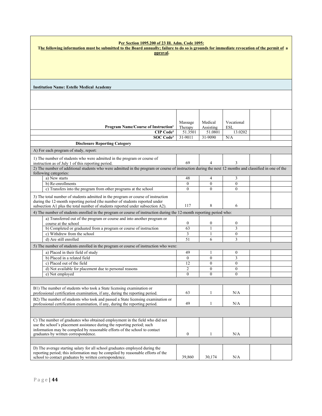| Per Section 1095.200 of 23 Ill. Adm. Code 1095:<br>The following information must be submitted to the Board annually; failure to do so is grounds for immediate revocation of the permit of a               |                    |                       |                       |  |
|-------------------------------------------------------------------------------------------------------------------------------------------------------------------------------------------------------------|--------------------|-----------------------|-----------------------|--|
| pproval.                                                                                                                                                                                                    |                    |                       |                       |  |
|                                                                                                                                                                                                             |                    |                       |                       |  |
|                                                                                                                                                                                                             |                    |                       |                       |  |
|                                                                                                                                                                                                             |                    |                       |                       |  |
|                                                                                                                                                                                                             |                    |                       |                       |  |
| <b>Institution Name: Estelle Medical Academy</b>                                                                                                                                                            |                    |                       |                       |  |
|                                                                                                                                                                                                             |                    |                       |                       |  |
|                                                                                                                                                                                                             |                    |                       |                       |  |
|                                                                                                                                                                                                             |                    |                       |                       |  |
|                                                                                                                                                                                                             |                    |                       |                       |  |
|                                                                                                                                                                                                             |                    |                       |                       |  |
|                                                                                                                                                                                                             | Massage            | Medical               | Vocational            |  |
| Program Name/Course of Instruction <sup>1</sup>                                                                                                                                                             | Therapy            | Assisting             | <b>ESL</b>            |  |
| CIP Code <sup>2</sup><br><b>SOC</b> Code <sup>3</sup>                                                                                                                                                       | 51.3501<br>31-9011 | 51.0801<br>31-9090    | 13.0202<br>N/A        |  |
| <b>Disclosure Reporting Category</b>                                                                                                                                                                        |                    |                       |                       |  |
|                                                                                                                                                                                                             |                    |                       |                       |  |
| A) For each program of study, report:                                                                                                                                                                       |                    |                       |                       |  |
| 1) The number of students who were admitted in the program or course of                                                                                                                                     |                    |                       |                       |  |
| instruction as of July 1 of this reporting period.<br>2) The number of additional students who were admitted in the program or course of instruction during the next 12 months and classified in one of the | 69                 | 4                     | 3                     |  |
| following categories:                                                                                                                                                                                       |                    |                       |                       |  |
| a) New starts                                                                                                                                                                                               | 48                 | $\overline{4}$        | 3                     |  |
| b) Re-enrollments                                                                                                                                                                                           | $\Omega$           | $\theta$              | $\theta$              |  |
| c) Transfers into the program from other programs at the school                                                                                                                                             | $\theta$           | $\theta$              | $\theta$              |  |
| 3) The total number of students admitted in the program or course of instruction                                                                                                                            |                    |                       |                       |  |
| during the 12-month reporting period (the number of students reported under                                                                                                                                 |                    |                       |                       |  |
| subsection A1 plus the total number of students reported under subsection A2).                                                                                                                              | 117                | 8                     | 6                     |  |
| 4) The number of students enrolled in the program or course of instruction during the 12-month reporting period who:                                                                                        |                    |                       |                       |  |
| a) Transferred out of the program or course and into another program or                                                                                                                                     | $\mathbf{0}$       |                       |                       |  |
| course at the school<br>b) Completed or graduated from a program or course of instruction                                                                                                                   | 63                 | $\boldsymbol{0}$<br>1 | $\boldsymbol{0}$<br>3 |  |
| c) Withdrew from the school                                                                                                                                                                                 | 3                  | 1                     | $\boldsymbol{0}$      |  |
| d) Are still enrolled                                                                                                                                                                                       | $\overline{51}$    | 6                     | 3                     |  |
| 5) The number of students enrolled in the program or course of instruction who were:                                                                                                                        |                    |                       |                       |  |
| a) Placed in their field of study                                                                                                                                                                           | 49                 | 1                     | $\mathbf{0}$          |  |
| b) Placed in a related field                                                                                                                                                                                | $\theta$           | $\mathbf{0}$          | 3                     |  |
| c) Placed out of the field                                                                                                                                                                                  | 12                 | $\mathbf{0}$          | $\mathbf{0}$          |  |
| d) Not available for placement due to personal reasons                                                                                                                                                      | 2                  | $\theta$              | $\theta$              |  |
| e) Not employed                                                                                                                                                                                             | $\mathbf{0}$       | $\mathbf{0}$          | $\mathbf{0}$          |  |
|                                                                                                                                                                                                             |                    |                       |                       |  |
| B1) The number of students who took a State licensing examination or                                                                                                                                        |                    |                       |                       |  |
| professional certification examination, if any, during the reporting period.                                                                                                                                | 63                 | 1                     | N/A                   |  |
| B2) The number of students who took and passed a State licensing examination or                                                                                                                             |                    |                       |                       |  |
| professional certification examination, if any, during the reporting period.                                                                                                                                | 49                 | $\mathbf{1}$          | N/A                   |  |
|                                                                                                                                                                                                             |                    |                       |                       |  |
| C) The number of graduates who obtained employment in the field who did not                                                                                                                                 |                    |                       |                       |  |
| use the school's placement assistance during the reporting period; such                                                                                                                                     |                    |                       |                       |  |
| information may be compiled by reasonable efforts of the school to contact                                                                                                                                  |                    |                       |                       |  |
| graduates by written correspondence.                                                                                                                                                                        | $\boldsymbol{0}$   | $\mathbf{1}$          | N/A                   |  |
|                                                                                                                                                                                                             |                    |                       |                       |  |
| D) The average starting salary for all school graduates employed during the                                                                                                                                 |                    |                       |                       |  |
| reporting period; this information may be compiled by reasonable efforts of the<br>school to contact graduates by written correspondence.                                                                   | 39,860             | 30,174                | N/A                   |  |
|                                                                                                                                                                                                             |                    |                       |                       |  |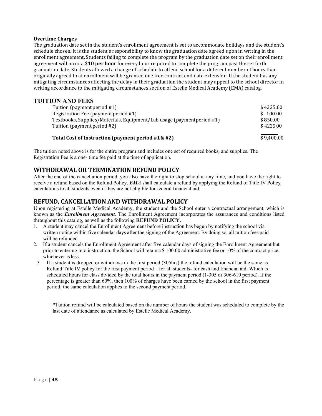#### **Overtime Charges**

The graduation date set in the student's enrollment agreement is set to accommodate holidays and the student's schedule chosen. It is the student's responsibility to know the graduation date agreed upon in writing in the enrollment agreement. Students failing to complete the program by the graduation date set on their enrollment agreement will incur a \$**10 per hour** for every hour required to complete the program past the set forth graduation date. Students allowed a change of schedule to attend school for a different number of hours than originally agreed to at enrollment will be granted one free contract end date extension. If the student has any mitigating circumstances affecting the delay in their graduation the student may appeal to the school director in writing accordance to the mitigating circumstances section of Estelle Medical Academy (EMA) catalog.

### **TUITION AND FEES**

| Total Cost of Instruction (payment period #1& #2)                     | \$9,400.00 |
|-----------------------------------------------------------------------|------------|
| Tuition (payment period #2)                                           | \$4225.00  |
| Textbooks, Supplies/Materials, Equipment/Lab usage (paymentperiod #1) | \$850.00   |
| Registration Fee (payment period #1)                                  | \$100.00   |
| Tuition (payment period #1)                                           | \$4225.00  |
|                                                                       |            |

The tuition noted above is for the entire program and includes one set of required books, and supplies. The Registration Fee is a one- time fee paid at the time of application.

### **WITHDRAWAL OR TERMINATION REFUND POLICY**

After the end of the cancellation period, you also have the right to stop school at any time, and you have the right to receive a refund based on the Refund Policy. *EMA* shall calculate a refund by applying the Refund of Title IV Policy calculations to all students even if they are not eligible for federal financial aid.

#### **REFUND, CANCELLATION AND WITHDRAWAL POLICY**

Upon registering at Estelle Medical Academy, the student and the School enter a contractual arrangement, which is known as the *Enrollment Agreement.* The Enrollment Agreement incorporates the assurances and conditions listed throughout this catalog, as well as the following **REFUND POLICY.**

- 1. A student may cancel the Enrollment Agreement before instruction has begun by notifying the school via written notice within five calendar days after the signing of the Agreement. By doing so, all tuition fees paid will be refunded.
- 2. If a student cancels the Enrollment Agreement after five calendar days of signing the Enrollment Agreement but prior to entering into instruction, the School will retain a \$ 100.00 administrative fee or 10% of the contract price, whichever is less.
- 3. If a student is dropped or withdraws in the first period (305hrs) the refund calculation will be the same as Refund Title IV policy for the first payment period – for all students- for cash and financial aid. Which is scheduled hours for class divided by the total hours in the payment period (1-305 or 306-610 period). If the percentage is greater than 60%, then 100% of charges have been earned by the school in the first payment period; the same calculation applies to the second payment period.

\*Tuition refund will be calculated based on the number of hours the student was scheduled to complete by the last date of attendance as calculated by Estelle Medical Academy.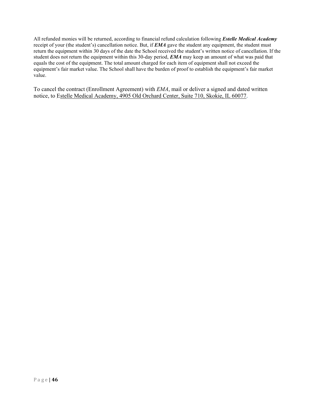All refunded monies will be returned, according to financial refund calculation following *Estelle Medical Academy*  receipt of your (the student's) cancellation notice. But, if *EMA* gave the student any equipment, the student must return the equipment within 30 days of the date the School received the student's written notice of cancellation. If the student does not return the equipment within this 30-day period, *EMA* may keep an amount of what was paid that equals the cost of the equipment. The total amount charged for each item of equipment shall not exceed the equipment's fair market value. The School shall have the burden of proof to establish the equipment's fair market value.

To cancel the contract (Enrollment Agreement) with *EMA*, mail or deliver a signed and dated written notice, to Estelle Medical Academy, 4905 Old Orchard Center, Suite 710, Skokie, IL 60077.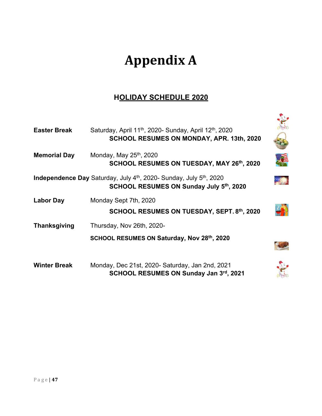# **Appendix A**

## **HOLIDAY SCHEDULE 2020**

| <b>Easter Break</b> | Saturday, April 11 <sup>th</sup> , 2020- Sunday, April 12 <sup>th</sup> , 2020<br>SCHOOL RESUMES ON MONDAY, APR. 13th, 2020            |  |
|---------------------|----------------------------------------------------------------------------------------------------------------------------------------|--|
| <b>Memorial Day</b> | Monday, May 25 <sup>th</sup> , 2020<br>SCHOOL RESUMES ON TUESDAY, MAY 26th, 2020                                                       |  |
|                     | Independence Day Saturday, July 4 <sup>th</sup> , 2020- Sunday, July 5 <sup>th</sup> , 2020<br>SCHOOL RESUMES ON Sunday July 5th, 2020 |  |
| <b>Labor Day</b>    | Monday Sept 7th, 2020<br>SCHOOL RESUMES ON TUESDAY, SEPT. 8th, 2020                                                                    |  |
| <b>Thanksgiving</b> | Thursday, Nov 26th, 2020-                                                                                                              |  |
|                     | SCHOOL RESUMES ON Saturday, Nov 28th, 2020                                                                                             |  |
| <b>Winter Break</b> | Monday, Dec 21st, 2020- Saturday, Jan 2nd, 2021<br>SCHOOL RESUMES ON Sunday Jan 3rd, 2021                                              |  |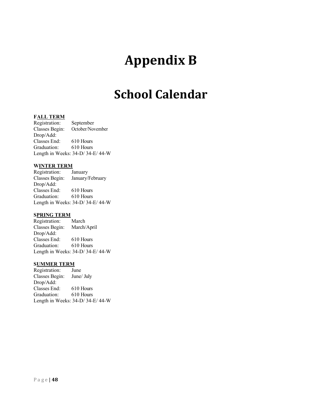## **Appendix B**

## **School Calendar**

#### **FALL TERM**

Registration: September Classes Begin: October/November Drop/Add: Classes End: 610 Hours<br>Graduation: 610 Hours Graduation: Length in Weeks: 34-D/ 34-E/ 44-W

#### **WINTER TERM**

Registration: January Classes Begin: January/February Drop/Add: Classes End: 610 Hours Graduation: 610 Hours Length in Weeks: 34-D/ 34-E/ 44-W

#### **SPRING TERM**

Registration: March Classes Begin: March/April Drop/Add: Classes End: 610 Hours Graduation: 610 Hours Length in Weeks: 34-D/ 34-E/ 44-W

#### **SUMMER TERM**

Registration: June Classes Begin: June/ July Drop/Add: Classes End: 610 Hours Graduation: 610 Hours Length in Weeks: 34-D/ 34-E/ 44-W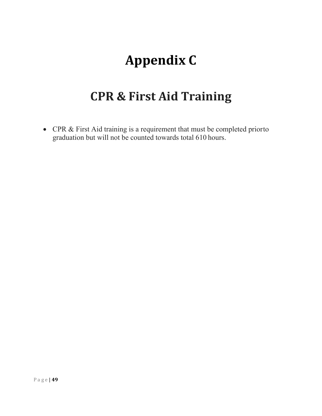# **Appendix C**

## **CPR & First Aid Training**

• CPR & First Aid training is a requirement that must be completed priorto graduation but will not be counted towards total 610 hours.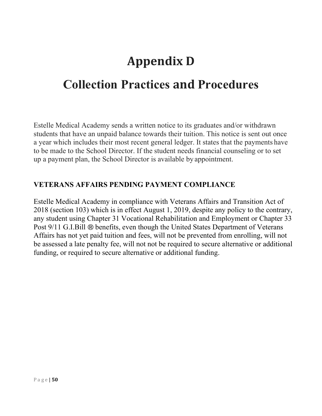## **Appendix D**

## **Collection Practices and Procedures**

Estelle Medical Academy sends a written notice to its graduates and/or withdrawn students that have an unpaid balance towards their tuition. This notice is sent out once a year which includes their most recent general ledger. It states that the payments have to be made to the School Director. If the student needs financial counseling or to set up a payment plan, the School Director is available by appointment.

## **VETERANS AFFAIRS PENDING PAYMENT COMPLIANCE**

Estelle Medical Academy in compliance with Veterans Affairs and Transition Act of 2018 (section 103) which is in effect August 1, 2019, despite any policy to the contrary, any student using Chapter 31 Vocational Rehabilitation and Employment or Chapter 33 Post 9/11 G.I.Bill ® benefits, even though the United States Department of Veterans Affairs has not yet paid tuition and fees, will not be prevented from enrolling, will not be assessed a late penalty fee, will not not be required to secure alternative or additional funding, or required to secure alternative or additional funding.